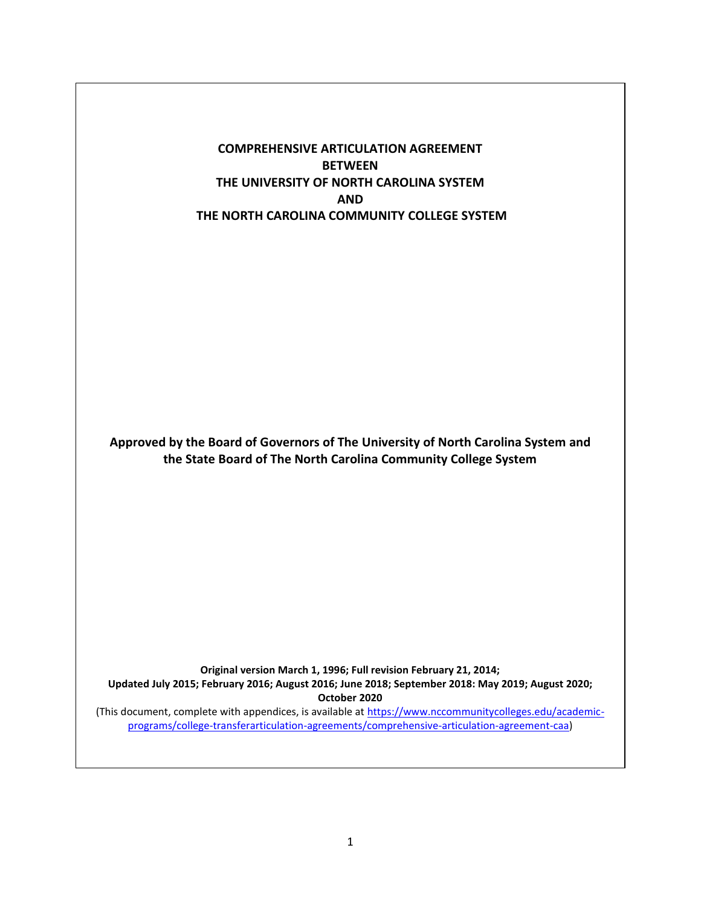**COMPREHENSIVE ARTICULATION AGREEMENT BETWEEN THE UNIVERSITY OF NORTH CAROLINA SYSTEM AND THE NORTH CAROLINA COMMUNITY COLLEGE SYSTEM**

**Approved by the Board of Governors of The University of North Carolina System and the State Board of The North Carolina Community College System**

**Original version March 1, 1996; Full revision February 21, 2014; Updated July 2015; February 2016; August 2016; June 2018; September 2018: May 2019; August 2020; October 2020**

(This document, complete with appendices, is available at [https://www.nccommunitycolleges.edu/academic](https://www.nccommunitycolleges.edu/academic-programs/college-transferarticulation-agreements/comprehensive-articulation-agreement-caa)[programs/college-transferarticulation-agreements/comprehensive-articulation-agreement-caa\)](https://www.nccommunitycolleges.edu/academic-programs/college-transferarticulation-agreements/comprehensive-articulation-agreement-caa)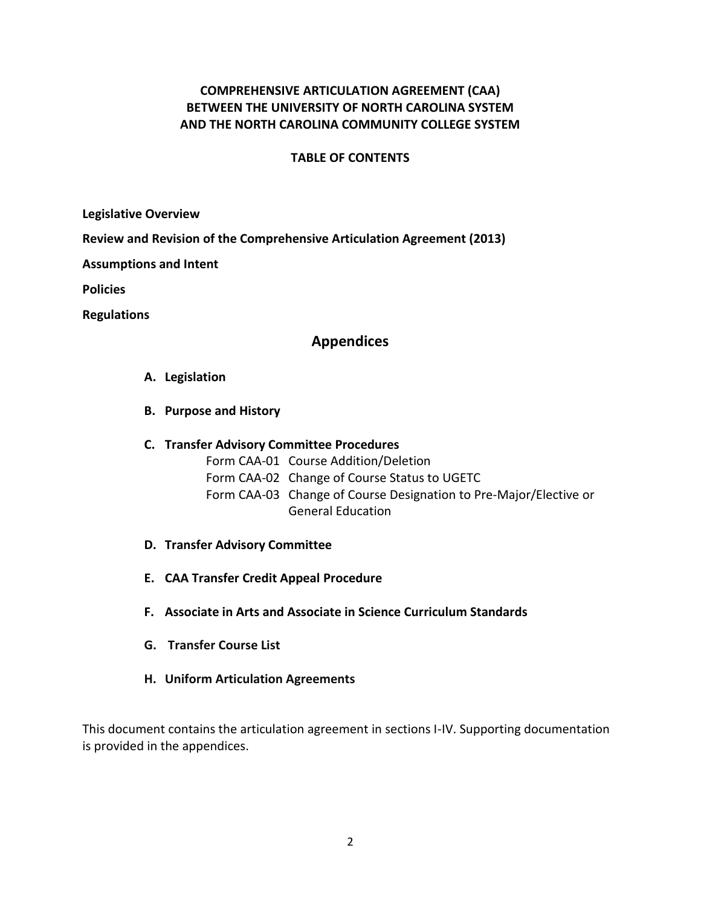## **COMPREHENSIVE ARTICULATION AGREEMENT (CAA) BETWEEN THE UNIVERSITY OF NORTH CAROLINA SYSTEM AND THE NORTH CAROLINA COMMUNITY COLLEGE SYSTEM**

### **TABLE OF CONTENTS**

**[Legislative](#page-2-0) Overview**

**[Review and Revision of the Comprehensive Articulation Agreement \(2013\)](#page-2-1)**

**[Assumptions and Intent](#page-3-0)**

**[Policies](#page-3-1)**

**[Regulations](#page-5-0)**

### **[Appendices](#page-9-0)**

### **A. [Legislation](#page-10-0)**

**B. [Purpose and History](#page-12-0)**

### **C. [Transfer Advisory Committee Procedures](#page-14-0)**

- Form CAA-01 Course Addition/Deletion
- Form CAA-02 Change of Course Status to UGETC
- Form CAA-03 Change of Course Designation to Pre-Major/Elective or General Education
- **D. [Transfer Advisory Committee](#page-24-0)**
- **E. [CAA Transfer Credit Appeal Procedure](#page-26-0)**
- **F. [Associate in Arts and Associate in Science Curriculum Standards](#page-27-0)**
- **G. [Transfer Course List](#page-32-0)**
- **H. Uniform Articulation Agreements**

This document contains the articulation agreement in sections I-IV. Supporting documentation is provided in the appendices.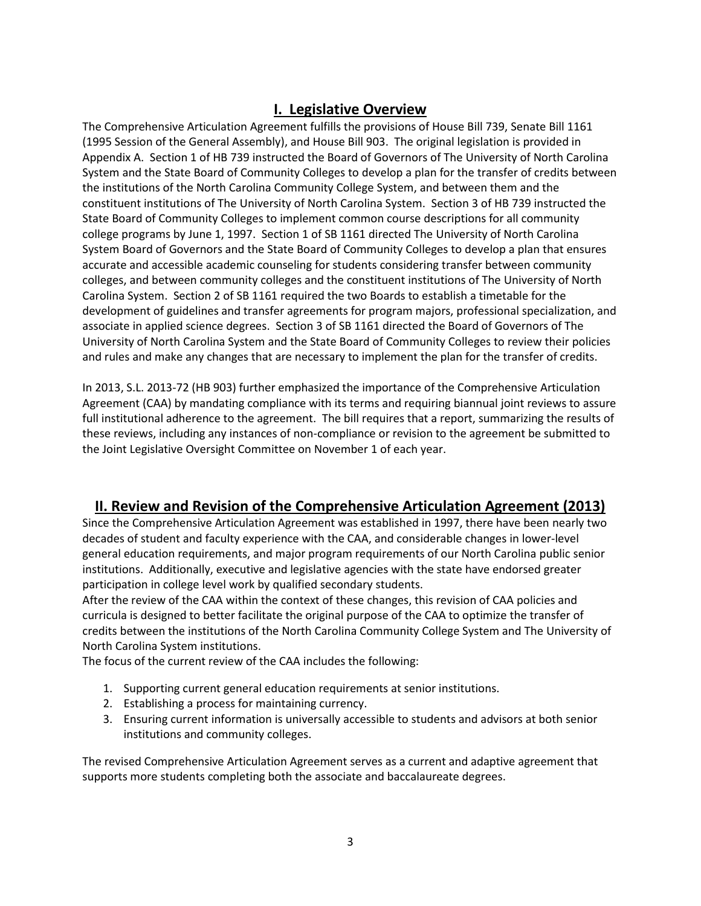## **I. Legislative Overview**

<span id="page-2-0"></span>The Comprehensive Articulation Agreement fulfills the provisions of House Bill 739, Senate Bill 1161 (1995 Session of the General Assembly), and House Bill 903. The original legislation is provided in Appendix A. Section 1 of HB 739 instructed the Board of Governors of The University of North Carolina System and the State Board of Community Colleges to develop a plan for the transfer of credits between the institutions of the North Carolina Community College System, and between them and the constituent institutions of The University of North Carolina System. Section 3 of HB 739 instructed the State Board of Community Colleges to implement common course descriptions for all community college programs by June 1, 1997. Section 1 of SB 1161 directed The University of North Carolina System Board of Governors and the State Board of Community Colleges to develop a plan that ensures accurate and accessible academic counseling for students considering transfer between community colleges, and between community colleges and the constituent institutions of The University of North Carolina System. Section 2 of SB 1161 required the two Boards to establish a timetable for the development of guidelines and transfer agreements for program majors, professional specialization, and associate in applied science degrees. Section 3 of SB 1161 directed the Board of Governors of The University of North Carolina System and the State Board of Community Colleges to review their policies and rules and make any changes that are necessary to implement the plan for the transfer of credits.

In 2013, S.L. 2013-72 (HB 903) further emphasized the importance of the Comprehensive Articulation Agreement (CAA) by mandating compliance with its terms and requiring biannual joint reviews to assure full institutional adherence to the agreement. The bill requires that a report, summarizing the results of these reviews, including any instances of non-compliance or revision to the agreement be submitted to the Joint Legislative Oversight Committee on November 1 of each year.

## <span id="page-2-1"></span>**II. Review and Revision of the Comprehensive Articulation Agreement (2013)**

Since the Comprehensive Articulation Agreement was established in 1997, there have been nearly two decades of student and faculty experience with the CAA, and considerable changes in lower-level general education requirements, and major program requirements of our North Carolina public senior institutions. Additionally, executive and legislative agencies with the state have endorsed greater participation in college level work by qualified secondary students.

After the review of the CAA within the context of these changes, this revision of CAA policies and curricula is designed to better facilitate the original purpose of the CAA to optimize the transfer of credits between the institutions of the North Carolina Community College System and The University of North Carolina System institutions.

The focus of the current review of the CAA includes the following:

- 1. Supporting current general education requirements at senior institutions.
- 2. Establishing a process for maintaining currency.
- 3. Ensuring current information is universally accessible to students and advisors at both senior institutions and community colleges.

The revised Comprehensive Articulation Agreement serves as a current and adaptive agreement that supports more students completing both the associate and baccalaureate degrees.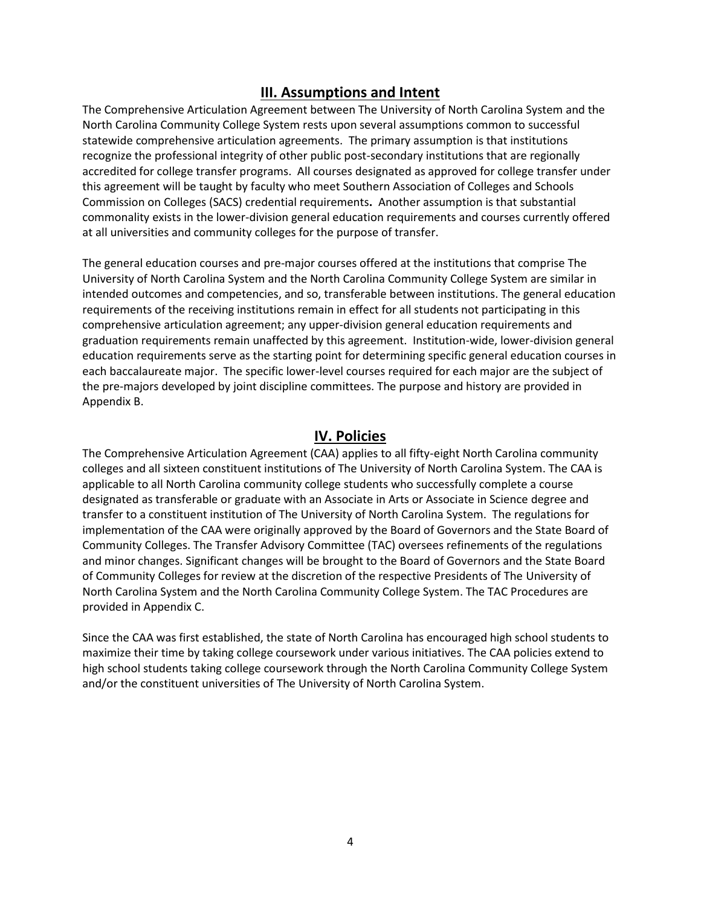## **III. Assumptions and Intent**

<span id="page-3-0"></span>The Comprehensive Articulation Agreement between The University of North Carolina System and the North Carolina Community College System rests upon several assumptions common to successful statewide comprehensive articulation agreements. The primary assumption is that institutions recognize the professional integrity of other public post-secondary institutions that are regionally accredited for college transfer programs. All courses designated as approved for college transfer under this agreement will be taught by faculty who meet Southern Association of Colleges and Schools Commission on Colleges (SACS) credential requirements**.** Another assumption is that substantial commonality exists in the lower-division general education requirements and courses currently offered at all universities and community colleges for the purpose of transfer.

The general education courses and pre-major courses offered at the institutions that comprise The University of North Carolina System and the North Carolina Community College System are similar in intended outcomes and competencies, and so, transferable between institutions. The general education requirements of the receiving institutions remain in effect for all students not participating in this comprehensive articulation agreement; any upper-division general education requirements and graduation requirements remain unaffected by this agreement. Institution-wide, lower-division general education requirements serve as the starting point for determining specific general education courses in each baccalaureate major. The specific lower-level courses required for each major are the subject of the pre-majors developed by joint discipline committees. The purpose and history are provided in Appendix B.

## **IV. Policies**

<span id="page-3-1"></span>The Comprehensive Articulation Agreement (CAA) applies to all fifty-eight North Carolina community colleges and all sixteen constituent institutions of The University of North Carolina System. The CAA is applicable to all North Carolina community college students who successfully complete a course designated as transferable or graduate with an Associate in Arts or Associate in Science degree and transfer to a constituent institution of The University of North Carolina System. The regulations for implementation of the CAA were originally approved by the Board of Governors and the State Board of Community Colleges. The Transfer Advisory Committee (TAC) oversees refinements of the regulations and minor changes. Significant changes will be brought to the Board of Governors and the State Board of Community Colleges for review at the discretion of the respective Presidents of The University of North Carolina System and the North Carolina Community College System. The TAC Procedures are provided in Appendix C.

Since the CAA was first established, the state of North Carolina has encouraged high school students to maximize their time by taking college coursework under various initiatives. The CAA policies extend to high school students taking college coursework through the North Carolina Community College System and/or the constituent universities of The University of North Carolina System.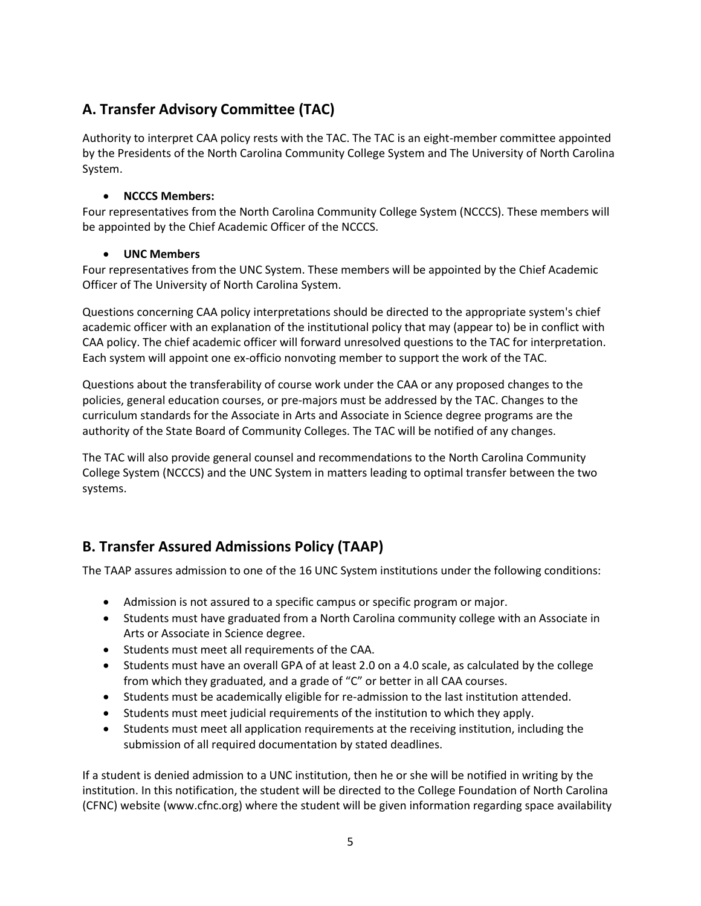# **A. Transfer Advisory Committee (TAC)**

Authority to interpret CAA policy rests with the TAC. The TAC is an eight-member committee appointed by the Presidents of the North Carolina Community College System and The University of North Carolina System.

### • **NCCCS Members:**

Four representatives from the North Carolina Community College System (NCCCS). These members will be appointed by the Chief Academic Officer of the NCCCS.

### • **UNC Members**

Four representatives from the UNC System. These members will be appointed by the Chief Academic Officer of The University of North Carolina System.

Questions concerning CAA policy interpretations should be directed to the appropriate system's chief academic officer with an explanation of the institutional policy that may (appear to) be in conflict with CAA policy. The chief academic officer will forward unresolved questions to the TAC for interpretation. Each system will appoint one ex-officio nonvoting member to support the work of the TAC.

Questions about the transferability of course work under the CAA or any proposed changes to the policies, general education courses, or pre-majors must be addressed by the TAC. Changes to the curriculum standards for the Associate in Arts and Associate in Science degree programs are the authority of the State Board of Community Colleges. The TAC will be notified of any changes.

The TAC will also provide general counsel and recommendations to the North Carolina Community College System (NCCCS) and the UNC System in matters leading to optimal transfer between the two systems.

# **B. Transfer Assured Admissions Policy (TAAP)**

The TAAP assures admission to one of the 16 UNC System institutions under the following conditions:

- Admission is not assured to a specific campus or specific program or major.
- Students must have graduated from a North Carolina community college with an Associate in Arts or Associate in Science degree.
- Students must meet all requirements of the CAA.
- Students must have an overall GPA of at least 2.0 on a 4.0 scale, as calculated by the college from which they graduated, and a grade of "C" or better in all CAA courses.
- Students must be academically eligible for re-admission to the last institution attended.
- Students must meet judicial requirements of the institution to which they apply.
- Students must meet all application requirements at the receiving institution, including the submission of all required documentation by stated deadlines.

If a student is denied admission to a UNC institution, then he or she will be notified in writing by the institution. In this notification, the student will be directed to the College Foundation of North Carolina (CFNC) website [\(www.cfnc.org\)](http://www.cfnc.org/) where the student will be given information regarding space availability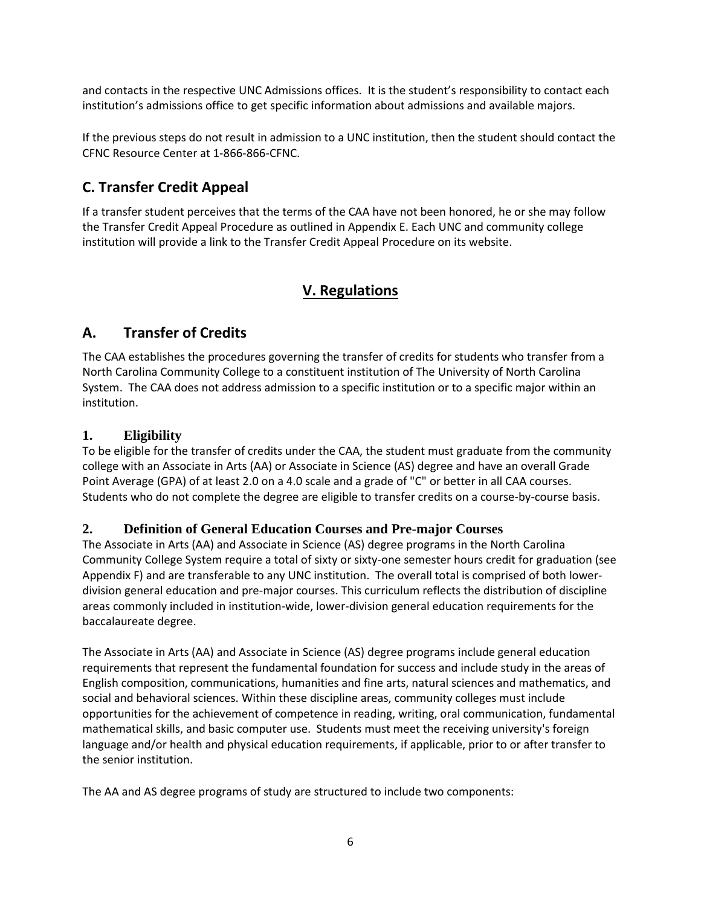and contacts in the respective UNC Admissions offices. It is the student's responsibility to contact each institution's admissions office to get specific information about admissions and available majors.

If the previous steps do not result in admission to a UNC institution, then the student should contact the CFNC Resource Center at 1-866-866-CFNC.

# **C. Transfer Credit Appeal**

If a transfer student perceives that the terms of the CAA have not been honored, he or she may follow the Transfer Credit Appeal Procedure as outlined in Appendix E. Each UNC and community college institution will provide a link to the Transfer Credit Appeal Procedure on its website.

## <span id="page-5-0"></span>**V. Regulations**

## **A. Transfer of Credits**

The CAA establishes the procedures governing the transfer of credits for students who transfer from a North Carolina Community College to a constituent institution of The University of North Carolina System. The CAA does not address admission to a specific institution or to a specific major within an institution.

## **1. Eligibility**

To be eligible for the transfer of credits under the CAA, the student must graduate from the community college with an Associate in Arts (AA) or Associate in Science (AS) degree and have an overall Grade Point Average (GPA) of at least 2.0 on a 4.0 scale and a grade of "C" or better in all CAA courses. Students who do not complete the degree are eligible to transfer credits on a course-by-course basis.

## **2. Definition of General Education Courses and Pre-major Courses**

The Associate in Arts (AA) and Associate in Science (AS) degree programs in the North Carolina Community College System require a total of sixty or sixty-one semester hours credit for graduation (see Appendix F) and are transferable to any UNC institution. The overall total is comprised of both lowerdivision general education and pre-major courses. This curriculum reflects the distribution of discipline areas commonly included in institution-wide, lower-division general education requirements for the baccalaureate degree.

The Associate in Arts (AA) and Associate in Science (AS) degree programs include general education requirements that represent the fundamental foundation for success and include study in the areas of English composition, communications, humanities and fine arts, natural sciences and mathematics, and social and behavioral sciences. Within these discipline areas, community colleges must include opportunities for the achievement of competence in reading, writing, oral communication, fundamental mathematical skills, and basic computer use. Students must meet the receiving university's foreign language and/or health and physical education requirements, if applicable, prior to or after transfer to the senior institution.

The AA and AS degree programs of study are structured to include two components: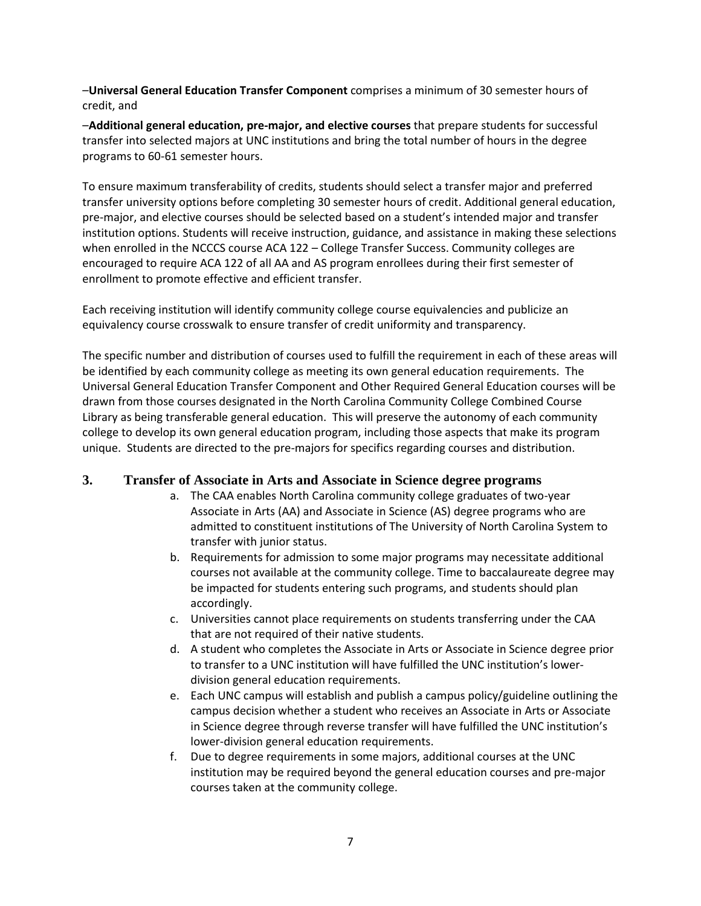–**Universal General Education Transfer Component** comprises a minimum of 30 semester hours of credit, and

–**Additional general education, pre-major, and elective courses** that prepare students for successful transfer into selected majors at UNC institutions and bring the total number of hours in the degree programs to 60-61 semester hours.

To ensure maximum transferability of credits, students should select a transfer major and preferred transfer university options before completing 30 semester hours of credit. Additional general education, pre-major, and elective courses should be selected based on a student's intended major and transfer institution options. Students will receive instruction, guidance, and assistance in making these selections when enrolled in the NCCCS course ACA 122 – College Transfer Success. Community colleges are encouraged to require ACA 122 of all AA and AS program enrollees during their first semester of enrollment to promote effective and efficient transfer.

Each receiving institution will identify community college course equivalencies and publicize an equivalency course crosswalk to ensure transfer of credit uniformity and transparency.

The specific number and distribution of courses used to fulfill the requirement in each of these areas will be identified by each community college as meeting its own general education requirements. The Universal General Education Transfer Component and Other Required General Education courses will be drawn from those courses designated in the North Carolina Community College Combined Course Library as being transferable general education.This will preserve the autonomy of each community college to develop its own general education program, including those aspects that make its program unique. Students are directed to the pre-majors for specifics regarding courses and distribution.

### **3. Transfer of Associate in Arts and Associate in Science degree programs**

- a. The CAA enables North Carolina community college graduates of two-year Associate in Arts (AA) and Associate in Science (AS) degree programs who are admitted to constituent institutions of The University of North Carolina System to transfer with junior status.
- b. Requirements for admission to some major programs may necessitate additional courses not available at the community college. Time to baccalaureate degree may be impacted for students entering such programs, and students should plan accordingly.
- c. Universities cannot place requirements on students transferring under the CAA that are not required of their native students.
- d. A student who completes the Associate in Arts or Associate in Science degree prior to transfer to a UNC institution will have fulfilled the UNC institution's lowerdivision general education requirements.
- e. Each UNC campus will establish and publish a campus policy/guideline outlining the campus decision whether a student who receives an Associate in Arts or Associate in Science degree through reverse transfer will have fulfilled the UNC institution's lower-division general education requirements.
- f. Due to degree requirements in some majors, additional courses at the UNC institution may be required beyond the general education courses and pre-major courses taken at the community college.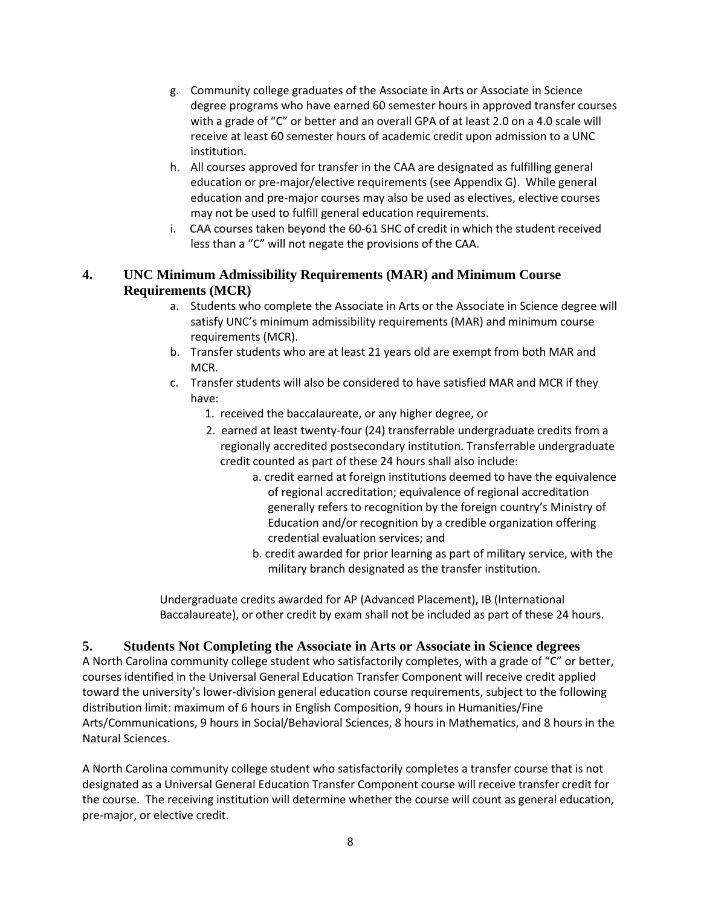- g. Community college graduates of the Associate in Arts or Associate in Science degree programs who have earned 60 semester hours in approved transfer courses with a grade of "C" or better and an overall GPA of at least 2.0 on a 4.0 scale will receive at least 60 semester hours of academic credit upon admission to a UNC institution.
- h. All courses approved for transfer in the CAA are designated as fulfilling general education or pre-major/elective requirements (see Appendix G). While general education and pre-major courses may also be used as electives, elective courses may not be used to fulfill general education requirements.
- i. CAA courses taken beyond the 60-61 SHC of credit in which the student received less than a "C" will not negate the provisions of the CAA.

## **4. UNC Minimum Admissibility Requirements (MAR) and Minimum Course Requirements (MCR)**

- a. Students who complete the Associate in Arts or the Associate in Science degree will satisfy UNC's minimum admissibility requirements (MAR) and minimum course requirements (MCR).
- b. Transfer students who are at least 21 years old are exempt from both MAR and MCR.
- c. Transfer students will also be considered to have satisfied MAR and MCR if they have:
	- 1. received the baccalaureate, or any higher degree, or
	- 2. earned at least twenty-four (24) transferrable undergraduate credits from a regionally accredited postsecondary institution. Transferrable undergraduate credit counted as part of these 24 hours shall also include:
		- a. credit earned at foreign institutions deemed to have the equivalence of regional accreditation; equivalence of regional accreditation generally refers to recognition by the foreign country's Ministry of Education and/or recognition by a credible organization offering credential evaluation services; and
		- b. credit awarded for prior learning as part of military service, with the military branch designated as the transfer institution.

Undergraduate credits awarded for AP (Advanced Placement), IB (International Baccalaureate), or other credit by exam shall not be included as part of these 24 hours.

## **5. Students Not Completing the Associate in Arts or Associate in Science degrees**

A North Carolina community college student who satisfactorily completes, with a grade of "C" or better, courses identified in the Universal General Education Transfer Component will receive credit applied toward the university's lower-division general education course requirements, subject to the following distribution limit: maximum of 6 hours in English Composition, 9 hours in Humanities/Fine Arts/Communications, 9 hours in Social/Behavioral Sciences, 8 hours in Mathematics, and 8 hours in the Natural Sciences.

A North Carolina community college student who satisfactorily completes a transfer course that is not designated as a Universal General Education Transfer Component course will receive transfer credit for the course. The receiving institution will determine whether the course will count as general education, pre-major, or elective credit.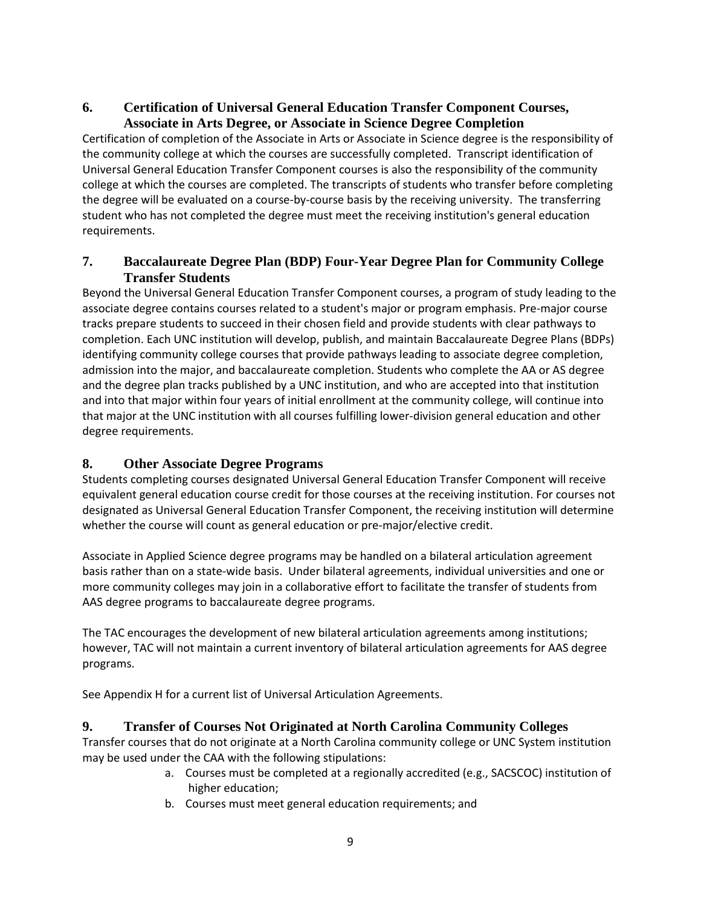## **6. Certification of Universal General Education Transfer Component Courses, Associate in Arts Degree, or Associate in Science Degree Completion**

Certification of completion of the Associate in Arts or Associate in Science degree is the responsibility of the community college at which the courses are successfully completed. Transcript identification of Universal General Education Transfer Component courses is also the responsibility of the community college at which the courses are completed. The transcripts of students who transfer before completing the degree will be evaluated on a course-by-course basis by the receiving university. The transferring student who has not completed the degree must meet the receiving institution's general education requirements.

## **7. Baccalaureate Degree Plan (BDP) Four-Year Degree Plan for Community College Transfer Students**

Beyond the Universal General Education Transfer Component courses, a program of study leading to the associate degree contains courses related to a student's major or program emphasis. Pre-major course tracks prepare students to succeed in their chosen field and provide students with clear pathways to completion. Each UNC institution will develop, publish, and maintain Baccalaureate Degree Plans (BDPs) identifying community college courses that provide pathways leading to associate degree completion, admission into the major, and baccalaureate completion. Students who complete the AA or AS degree and the degree plan tracks published by a UNC institution, and who are accepted into that institution and into that major within four years of initial enrollment at the community college, will continue into that major at the UNC institution with all courses fulfilling lower-division general education and other degree requirements.

## **8. Other Associate Degree Programs**

Students completing courses designated Universal General Education Transfer Component will receive equivalent general education course credit for those courses at the receiving institution. For courses not designated as Universal General Education Transfer Component, the receiving institution will determine whether the course will count as general education or pre-major/elective credit.

Associate in Applied Science degree programs may be handled on a bilateral articulation agreement basis rather than on a state-wide basis. Under bilateral agreements, individual universities and one or more community colleges may join in a collaborative effort to facilitate the transfer of students from AAS degree programs to baccalaureate degree programs.

The TAC encourages the development of new bilateral articulation agreements among institutions; however, TAC will not maintain a current inventory of bilateral articulation agreements for AAS degree programs.

See Appendix H for a current list of Universal Articulation Agreements.

## **9. Transfer of Courses Not Originated at North Carolina Community Colleges**

Transfer courses that do not originate at a North Carolina community college or UNC System institution may be used under the CAA with the following stipulations:

- a. Courses must be completed at a regionally accredited (e.g., SACSCOC) institution of higher education;
- b. Courses must meet general education requirements; and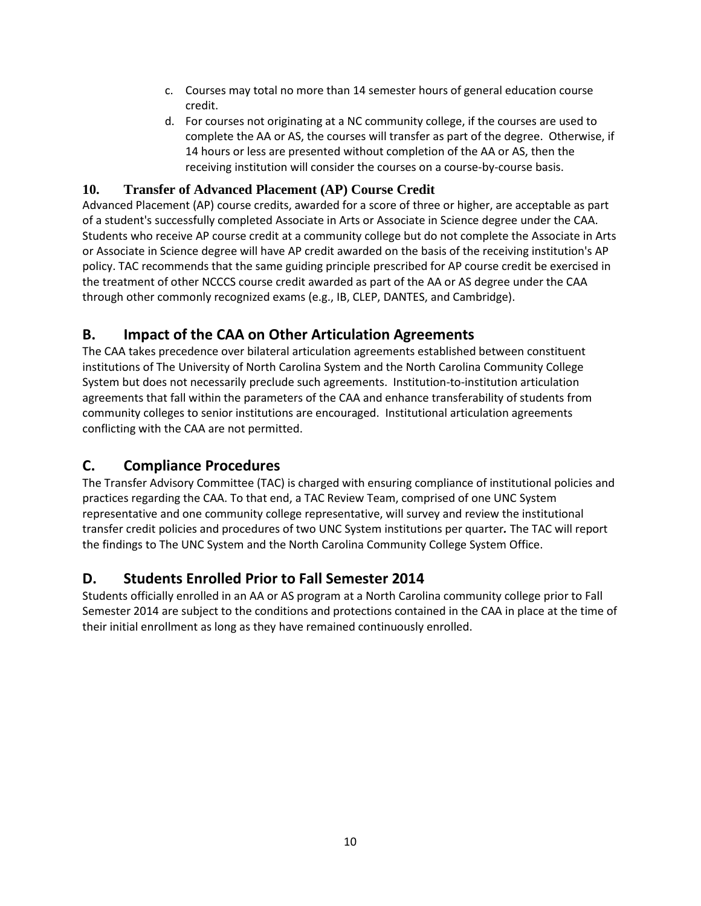- c. Courses may total no more than 14 semester hours of general education course credit.
- d. For courses not originating at a NC community college, if the courses are used to complete the AA or AS, the courses will transfer as part of the degree. Otherwise, if 14 hours or less are presented without completion of the AA or AS, then the receiving institution will consider the courses on a course-by-course basis.

## **10. Transfer of Advanced Placement (AP) Course Credit**

Advanced Placement (AP) course credits, awarded for a score of three or higher, are acceptable as part of a student's successfully completed Associate in Arts or Associate in Science degree under the CAA. Students who receive AP course credit at a community college but do not complete the Associate in Arts or Associate in Science degree will have AP credit awarded on the basis of the receiving institution's AP policy. TAC recommends that the same guiding principle prescribed for AP course credit be exercised in the treatment of other NCCCS course credit awarded as part of the AA or AS degree under the CAA through other commonly recognized exams (e.g., IB, CLEP, DANTES, and Cambridge).

## **B. Impact of the CAA on Other Articulation Agreements**

The CAA takes precedence over bilateral articulation agreements established between constituent institutions of The University of North Carolina System and the North Carolina Community College System but does not necessarily preclude such agreements. Institution-to-institution articulation agreements that fall within the parameters of the CAA and enhance transferability of students from community colleges to senior institutions are encouraged. Institutional articulation agreements conflicting with the CAA are not permitted.

## **C. Compliance Procedures**

The Transfer Advisory Committee (TAC) is charged with ensuring compliance of institutional policies and practices regarding the CAA. To that end, a TAC Review Team, comprised of one UNC System representative and one community college representative, will survey and review the institutional transfer credit policies and procedures of two UNC System institutions per quarter*.* The TAC will report the findings to The UNC System and the North Carolina Community College System Office.

## **D. Students Enrolled Prior to Fall Semester 2014**

<span id="page-9-0"></span>Students officially enrolled in an AA or AS program at a North Carolina community college prior to Fall Semester 2014 are subject to the conditions and protections contained in the CAA in place at the time of their initial enrollment as long as they have remained continuously enrolled.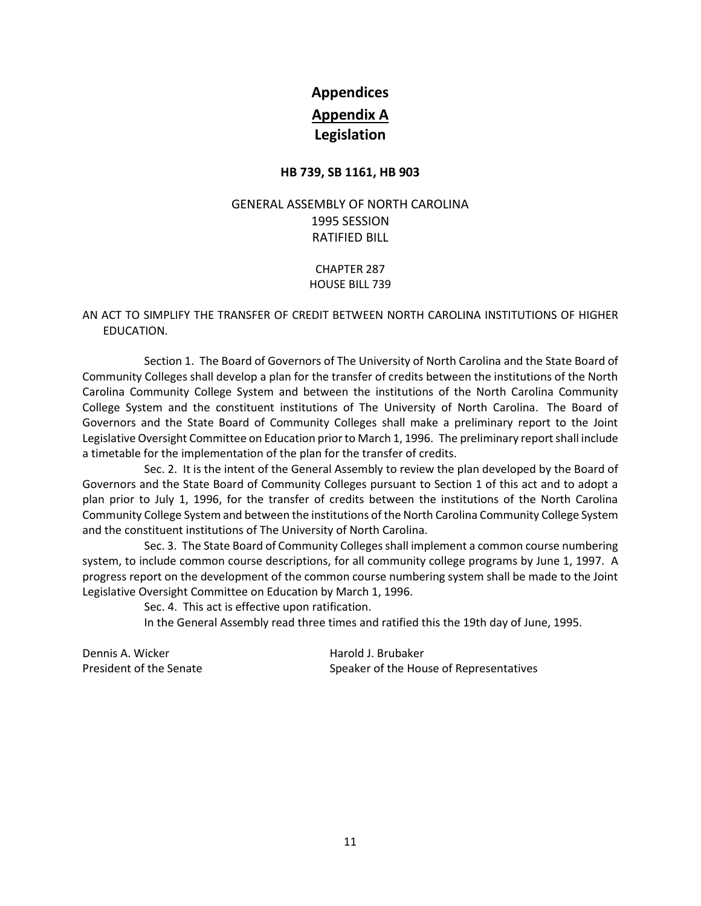# **Appendices Appendix A Legislation**

### **HB 739, SB 1161, HB 903**

## <span id="page-10-0"></span>GENERAL ASSEMBLY OF NORTH CAROLINA 1995 SESSION RATIFIED BILL

CHAPTER 287 HOUSE BILL 739

### AN ACT TO SIMPLIFY THE TRANSFER OF CREDIT BETWEEN NORTH CAROLINA INSTITUTIONS OF HIGHER EDUCATION.

Section 1. The Board of Governors of The University of North Carolina and the State Board of Community Colleges shall develop a plan for the transfer of credits between the institutions of the North Carolina Community College System and between the institutions of the North Carolina Community College System and the constituent institutions of The University of North Carolina. The Board of Governors and the State Board of Community Colleges shall make a preliminary report to the Joint Legislative Oversight Committee on Education prior to March 1, 1996. The preliminary report shall include a timetable for the implementation of the plan for the transfer of credits.

Sec. 2. It is the intent of the General Assembly to review the plan developed by the Board of Governors and the State Board of Community Colleges pursuant to Section 1 of this act and to adopt a plan prior to July 1, 1996, for the transfer of credits between the institutions of the North Carolina Community College System and between the institutions of the North Carolina Community College System and the constituent institutions of The University of North Carolina.

Sec. 3. The State Board of Community Colleges shall implement a common course numbering system, to include common course descriptions, for all community college programs by June 1, 1997. A progress report on the development of the common course numbering system shall be made to the Joint Legislative Oversight Committee on Education by March 1, 1996.

Sec. 4. This act is effective upon ratification.

In the General Assembly read three times and ratified this the 19th day of June, 1995.

Dennis A. Wicker **Harold J. Brubaker** Harold J. Brubaker

President of the Senate Speaker of the House of Representatives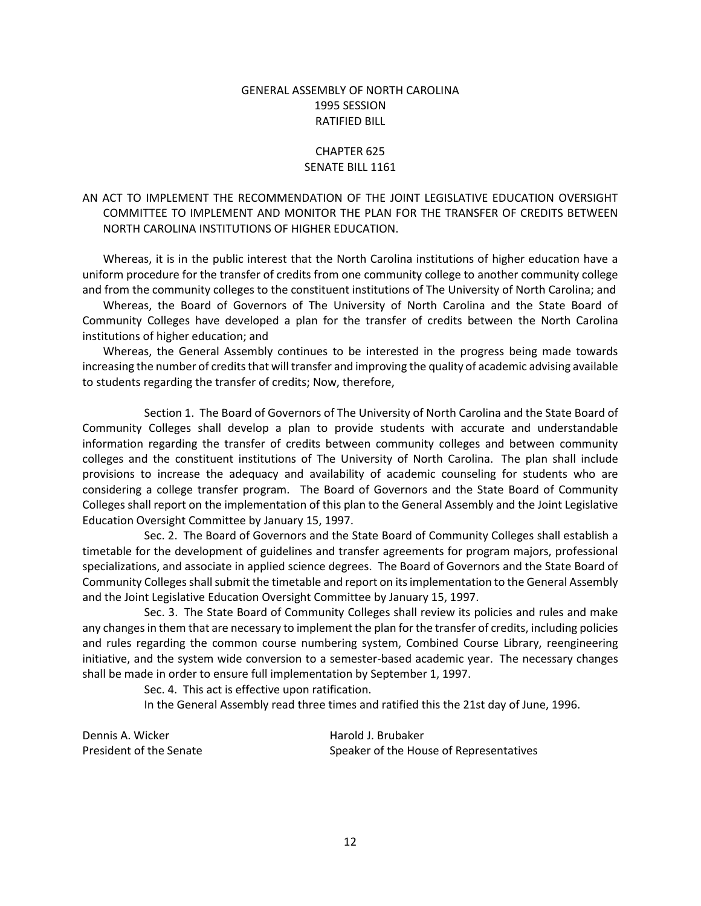### GENERAL ASSEMBLY OF NORTH CAROLINA 1995 SESSION RATIFIED BILL

### CHAPTER 625 SENATE BILL 1161

### AN ACT TO IMPLEMENT THE RECOMMENDATION OF THE JOINT LEGISLATIVE EDUCATION OVERSIGHT COMMITTEE TO IMPLEMENT AND MONITOR THE PLAN FOR THE TRANSFER OF CREDITS BETWEEN NORTH CAROLINA INSTITUTIONS OF HIGHER EDUCATION.

Whereas, it is in the public interest that the North Carolina institutions of higher education have a uniform procedure for the transfer of credits from one community college to another community college and from the community colleges to the constituent institutions of The University of North Carolina; and

Whereas, the Board of Governors of The University of North Carolina and the State Board of Community Colleges have developed a plan for the transfer of credits between the North Carolina institutions of higher education; and

Whereas, the General Assembly continues to be interested in the progress being made towards increasing the number of credits that will transfer and improving the quality of academic advising available to students regarding the transfer of credits; Now, therefore,

Section 1. The Board of Governors of The University of North Carolina and the State Board of Community Colleges shall develop a plan to provide students with accurate and understandable information regarding the transfer of credits between community colleges and between community colleges and the constituent institutions of The University of North Carolina. The plan shall include provisions to increase the adequacy and availability of academic counseling for students who are considering a college transfer program. The Board of Governors and the State Board of Community Colleges shall report on the implementation of this plan to the General Assembly and the Joint Legislative Education Oversight Committee by January 15, 1997.

Sec. 2. The Board of Governors and the State Board of Community Colleges shall establish a timetable for the development of guidelines and transfer agreements for program majors, professional specializations, and associate in applied science degrees. The Board of Governors and the State Board of Community Colleges shall submit the timetable and report on its implementation to the General Assembly and the Joint Legislative Education Oversight Committee by January 15, 1997.

Sec. 3. The State Board of Community Colleges shall review its policies and rules and make any changes in them that are necessary to implement the plan for the transfer of credits, including policies and rules regarding the common course numbering system, Combined Course Library, reengineering initiative, and the system wide conversion to a semester-based academic year. The necessary changes shall be made in order to ensure full implementation by September 1, 1997.

Sec. 4. This act is effective upon ratification.

In the General Assembly read three times and ratified this the 21st day of June, 1996.

Dennis A. Wicker **Harold J. Brubaker** Harold J. Brubaker

President of the Senate Speaker of the House of Representatives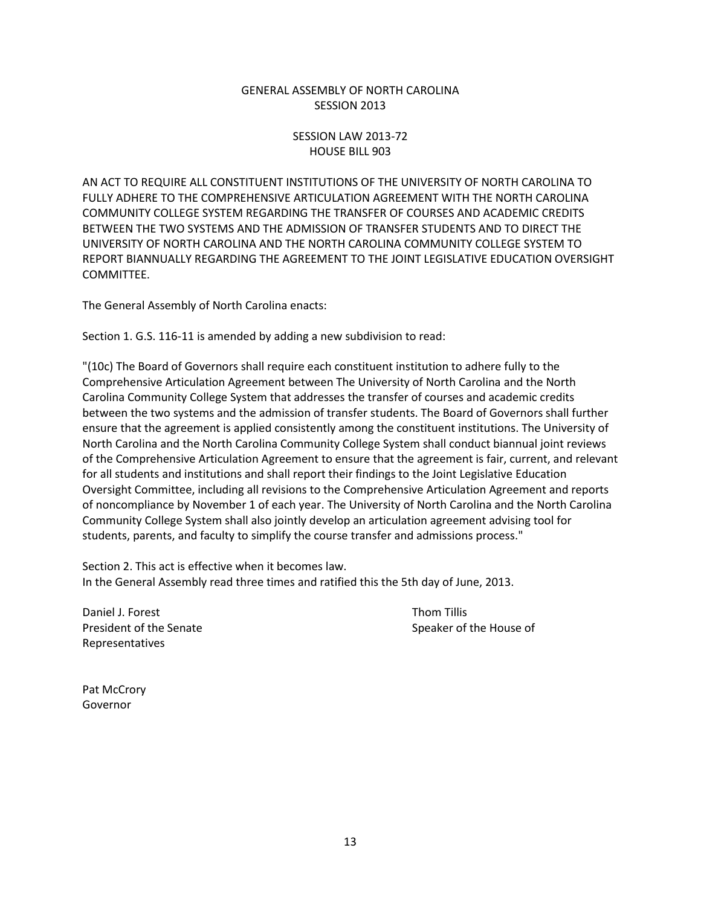### GENERAL ASSEMBLY OF NORTH CAROLINA SESSION 2013

### SESSION LAW 2013-72 HOUSE BILL 903

AN ACT TO REQUIRE ALL CONSTITUENT INSTITUTIONS OF THE UNIVERSITY OF NORTH CAROLINA TO FULLY ADHERE TO THE COMPREHENSIVE ARTICULATION AGREEMENT WITH THE NORTH CAROLINA COMMUNITY COLLEGE SYSTEM REGARDING THE TRANSFER OF COURSES AND ACADEMIC CREDITS BETWEEN THE TWO SYSTEMS AND THE ADMISSION OF TRANSFER STUDENTS AND TO DIRECT THE UNIVERSITY OF NORTH CAROLINA AND THE NORTH CAROLINA COMMUNITY COLLEGE SYSTEM TO REPORT BIANNUALLY REGARDING THE AGREEMENT TO THE JOINT LEGISLATIVE EDUCATION OVERSIGHT COMMITTEE.

The General Assembly of North Carolina enacts:

Section 1. G.S. 116-11 is amended by adding a new subdivision to read:

"(10c) The Board of Governors shall require each constituent institution to adhere fully to the Comprehensive Articulation Agreement between The University of North Carolina and the North Carolina Community College System that addresses the transfer of courses and academic credits between the two systems and the admission of transfer students. The Board of Governors shall further ensure that the agreement is applied consistently among the constituent institutions. The University of North Carolina and the North Carolina Community College System shall conduct biannual joint reviews of the Comprehensive Articulation Agreement to ensure that the agreement is fair, current, and relevant for all students and institutions and shall report their findings to the Joint Legislative Education Oversight Committee, including all revisions to the Comprehensive Articulation Agreement and reports of noncompliance by November 1 of each year. The University of North Carolina and the North Carolina Community College System shall also jointly develop an articulation agreement advising tool for students, parents, and faculty to simplify the course transfer and admissions process."

Section 2. This act is effective when it becomes law. In the General Assembly read three times and ratified this the 5th day of June, 2013.

Daniel J. Forest **Thom Tillis** Representatives

President of the Senate Speaker of the House of

<span id="page-12-0"></span>Pat McCrory Governor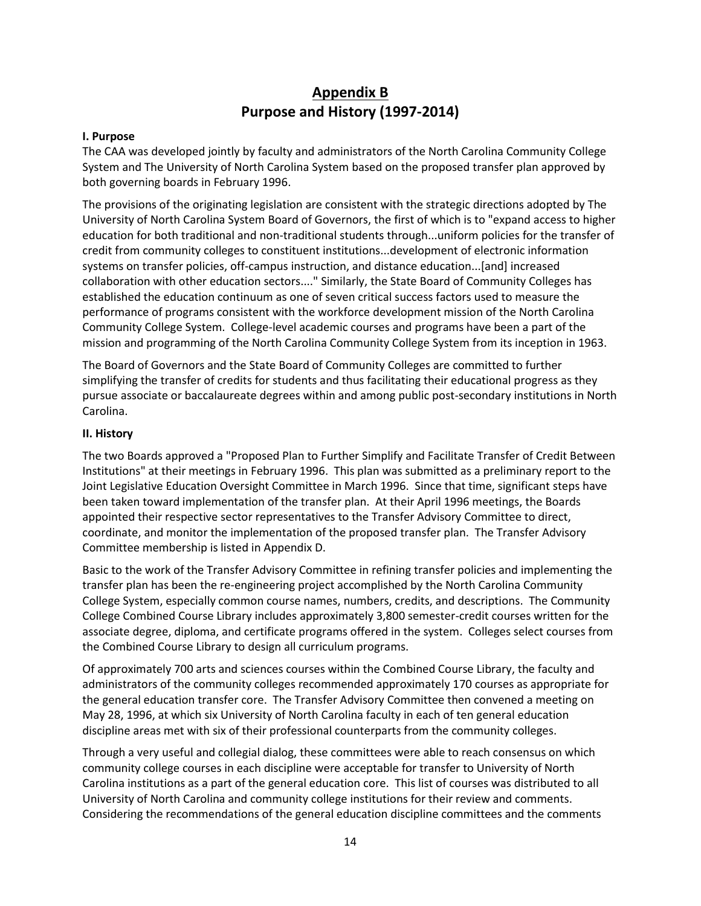# **Appendix B Purpose and History (1997-2014)**

#### **I. Purpose**

The CAA was developed jointly by faculty and administrators of the North Carolina Community College System and The University of North Carolina System based on the proposed transfer plan approved by both governing boards in February 1996.

The provisions of the originating legislation are consistent with the strategic directions adopted by The University of North Carolina System Board of Governors, the first of which is to "expand access to higher education for both traditional and non-traditional students through...uniform policies for the transfer of credit from community colleges to constituent institutions...development of electronic information systems on transfer policies, off-campus instruction, and distance education...[and] increased collaboration with other education sectors...." Similarly, the State Board of Community Colleges has established the education continuum as one of seven critical success factors used to measure the performance of programs consistent with the workforce development mission of the North Carolina Community College System. College-level academic courses and programs have been a part of the mission and programming of the North Carolina Community College System from its inception in 1963.

The Board of Governors and the State Board of Community Colleges are committed to further simplifying the transfer of credits for students and thus facilitating their educational progress as they pursue associate or baccalaureate degrees within and among public post-secondary institutions in North Carolina.

### **II. History**

The two Boards approved a "Proposed Plan to Further Simplify and Facilitate Transfer of Credit Between Institutions" at their meetings in February 1996. This plan was submitted as a preliminary report to the Joint Legislative Education Oversight Committee in March 1996. Since that time, significant steps have been taken toward implementation of the transfer plan. At their April 1996 meetings, the Boards appointed their respective sector representatives to the Transfer Advisory Committee to direct, coordinate, and monitor the implementation of the proposed transfer plan. The Transfer Advisory Committee membership is listed in Appendix D.

Basic to the work of the Transfer Advisory Committee in refining transfer policies and implementing the transfer plan has been the re-engineering project accomplished by the North Carolina Community College System, especially common course names, numbers, credits, and descriptions. The Community College Combined Course Library includes approximately 3,800 semester-credit courses written for the associate degree, diploma, and certificate programs offered in the system. Colleges select courses from the Combined Course Library to design all curriculum programs.

Of approximately 700 arts and sciences courses within the Combined Course Library, the faculty and administrators of the community colleges recommended approximately 170 courses as appropriate for the general education transfer core. The Transfer Advisory Committee then convened a meeting on May 28, 1996, at which six University of North Carolina faculty in each of ten general education discipline areas met with six of their professional counterparts from the community colleges.

Through a very useful and collegial dialog, these committees were able to reach consensus on which community college courses in each discipline were acceptable for transfer to University of North Carolina institutions as a part of the general education core. This list of courses was distributed to all University of North Carolina and community college institutions for their review and comments. Considering the recommendations of the general education discipline committees and the comments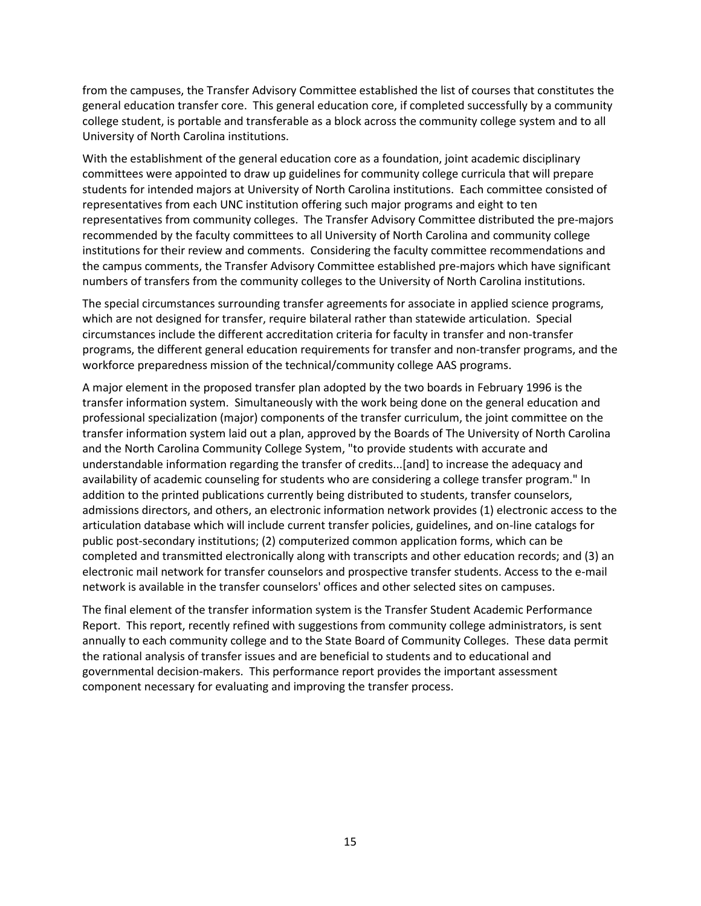from the campuses, the Transfer Advisory Committee established the list of courses that constitutes the general education transfer core. This general education core, if completed successfully by a community college student, is portable and transferable as a block across the community college system and to all University of North Carolina institutions.

With the establishment of the general education core as a foundation, joint academic disciplinary committees were appointed to draw up guidelines for community college curricula that will prepare students for intended majors at University of North Carolina institutions. Each committee consisted of representatives from each UNC institution offering such major programs and eight to ten representatives from community colleges. The Transfer Advisory Committee distributed the pre-majors recommended by the faculty committees to all University of North Carolina and community college institutions for their review and comments. Considering the faculty committee recommendations and the campus comments, the Transfer Advisory Committee established pre-majors which have significant numbers of transfers from the community colleges to the University of North Carolina institutions.

The special circumstances surrounding transfer agreements for associate in applied science programs, which are not designed for transfer, require bilateral rather than statewide articulation. Special circumstances include the different accreditation criteria for faculty in transfer and non-transfer programs, the different general education requirements for transfer and non-transfer programs, and the workforce preparedness mission of the technical/community college AAS programs.

A major element in the proposed transfer plan adopted by the two boards in February 1996 is the transfer information system. Simultaneously with the work being done on the general education and professional specialization (major) components of the transfer curriculum, the joint committee on the transfer information system laid out a plan, approved by the Boards of The University of North Carolina and the North Carolina Community College System, "to provide students with accurate and understandable information regarding the transfer of credits...[and] to increase the adequacy and availability of academic counseling for students who are considering a college transfer program." In addition to the printed publications currently being distributed to students, transfer counselors, admissions directors, and others, an electronic information network provides (1) electronic access to the articulation database which will include current transfer policies, guidelines, and on-line catalogs for public post-secondary institutions; (2) computerized common application forms, which can be completed and transmitted electronically along with transcripts and other education records; and (3) an electronic mail network for transfer counselors and prospective transfer students. Access to the e-mail network is available in the transfer counselors' offices and other selected sites on campuses.

<span id="page-14-0"></span>The final element of the transfer information system is the Transfer Student Academic Performance Report. This report, recently refined with suggestions from community college administrators, is sent annually to each community college and to the State Board of Community Colleges. These data permit the rational analysis of transfer issues and are beneficial to students and to educational and governmental decision-makers. This performance report provides the important assessment component necessary for evaluating and improving the transfer process.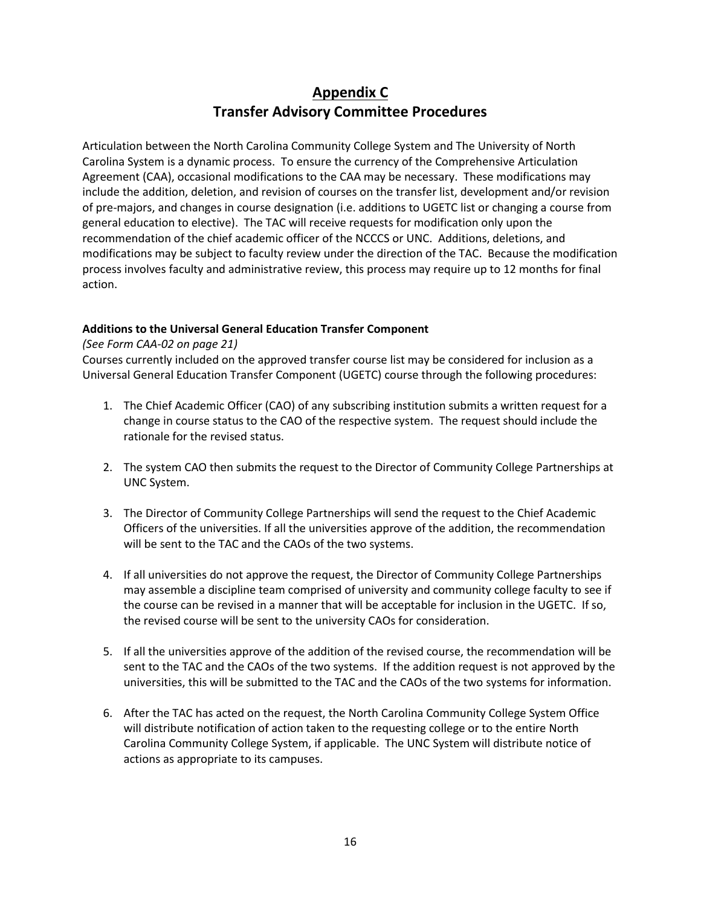# **Appendix C Transfer Advisory Committee Procedures**

Articulation between the North Carolina Community College System and The University of North Carolina System is a dynamic process. To ensure the currency of the Comprehensive Articulation Agreement (CAA), occasional modifications to the CAA may be necessary. These modifications may include the addition, deletion, and revision of courses on the transfer list, development and/or revision of pre-majors, and changes in course designation (i.e. additions to UGETC list or changing a course from general education to elective). The TAC will receive requests for modification only upon the recommendation of the chief academic officer of the NCCCS or UNC. Additions, deletions, and modifications may be subject to faculty review under the direction of the TAC. Because the modification process involves faculty and administrative review, this process may require up to 12 months for final action.

### **Additions to the Universal General Education Transfer Component**

### *(See Form CAA-02 on page 21)*

Courses currently included on the approved transfer course list may be considered for inclusion as a Universal General Education Transfer Component (UGETC) course through the following procedures:

- 1. The Chief Academic Officer (CAO) of any subscribing institution submits a written request for a change in course status to the CAO of the respective system. The request should include the rationale for the revised status.
- 2. The system CAO then submits the request to the Director of Community College Partnerships at UNC System.
- 3. The Director of Community College Partnerships will send the request to the Chief Academic Officers of the universities. If all the universities approve of the addition, the recommendation will be sent to the TAC and the CAOs of the two systems.
- 4. If all universities do not approve the request, the Director of Community College Partnerships may assemble a discipline team comprised of university and community college faculty to see if the course can be revised in a manner that will be acceptable for inclusion in the UGETC. If so, the revised course will be sent to the university CAOs for consideration.
- 5. If all the universities approve of the addition of the revised course, the recommendation will be sent to the TAC and the CAOs of the two systems. If the addition request is not approved by the universities, this will be submitted to the TAC and the CAOs of the two systems for information.
- 6. After the TAC has acted on the request, the North Carolina Community College System Office will distribute notification of action taken to the requesting college or to the entire North Carolina Community College System, if applicable. The UNC System will distribute notice of actions as appropriate to its campuses.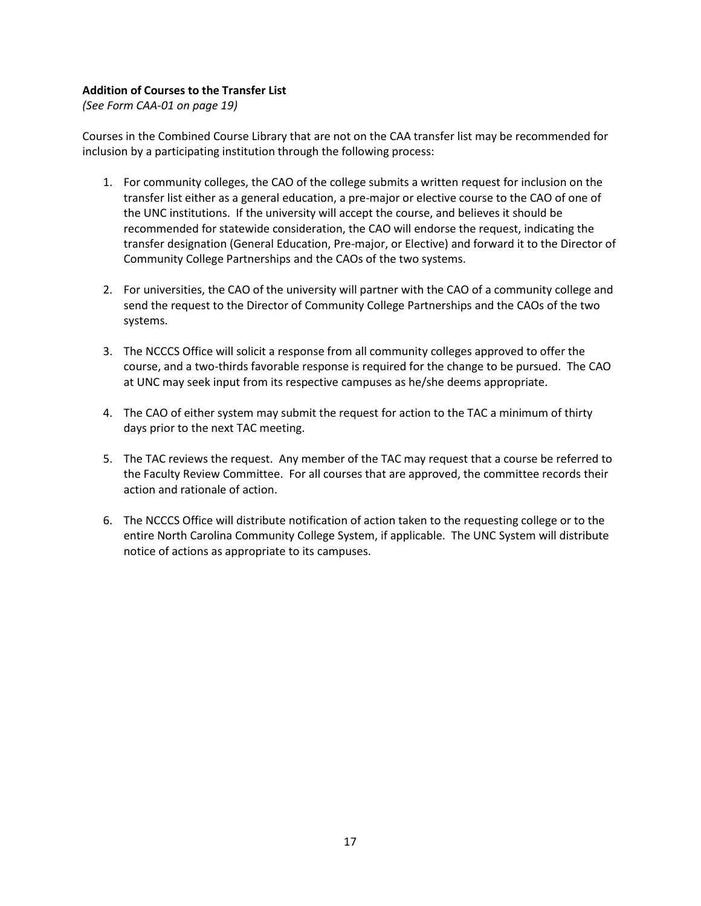### **Addition of Courses to the Transfer List**

*(See Form CAA-01 on page 19)*

Courses in the Combined Course Library that are not on the CAA transfer list may be recommended for inclusion by a participating institution through the following process:

- 1. For community colleges, the CAO of the college submits a written request for inclusion on the transfer list either as a general education, a pre-major or elective course to the CAO of one of the UNC institutions. If the university will accept the course, and believes it should be recommended for statewide consideration, the CAO will endorse the request, indicating the transfer designation (General Education, Pre-major, or Elective) and forward it to the Director of Community College Partnerships and the CAOs of the two systems.
- 2. For universities, the CAO of the university will partner with the CAO of a community college and send the request to the Director of Community College Partnerships and the CAOs of the two systems.
- 3. The NCCCS Office will solicit a response from all community colleges approved to offer the course, and a two-thirds favorable response is required for the change to be pursued. The CAO at UNC may seek input from its respective campuses as he/she deems appropriate.
- 4. The CAO of either system may submit the request for action to the TAC a minimum of thirty days prior to the next TAC meeting.
- 5. The TAC reviews the request. Any member of the TAC may request that a course be referred to the Faculty Review Committee. For all courses that are approved, the committee records their action and rationale of action.
- 6. The NCCCS Office will distribute notification of action taken to the requesting college or to the entire North Carolina Community College System, if applicable. The UNC System will distribute notice of actions as appropriate to its campuses.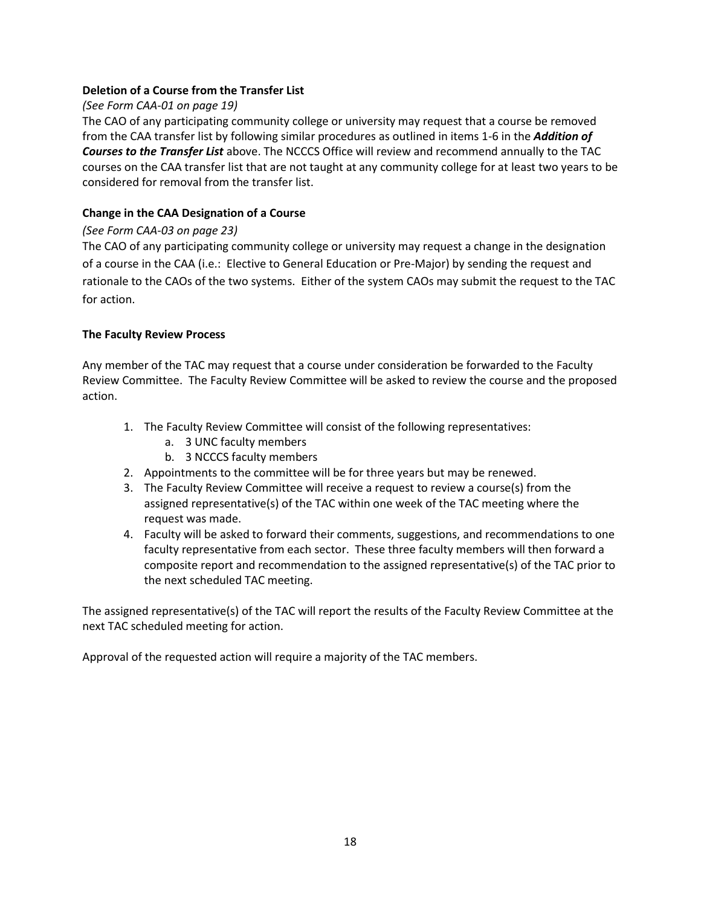### **Deletion of a Course from the Transfer List**

### *(See Form CAA-01 on page 19)*

The CAO of any participating community college or university may request that a course be removed from the CAA transfer list by following similar procedures as outlined in items 1-6 in the *Addition of Courses to the Transfer List* above. The NCCCS Office will review and recommend annually to the TAC courses on the CAA transfer list that are not taught at any community college for at least two years to be considered for removal from the transfer list.

### **Change in the CAA Designation of a Course**

### *(See Form CAA-03 on page 23)*

The CAO of any participating community college or university may request a change in the designation of a course in the CAA (i.e.: Elective to General Education or Pre-Major) by sending the request and rationale to the CAOs of the two systems. Either of the system CAOs may submit the request to the TAC for action.

### **The Faculty Review Process**

Any member of the TAC may request that a course under consideration be forwarded to the Faculty Review Committee. The Faculty Review Committee will be asked to review the course and the proposed action.

- 1. The Faculty Review Committee will consist of the following representatives:
	- a. 3 UNC faculty members
	- b. 3 NCCCS faculty members
- 2. Appointments to the committee will be for three years but may be renewed.
- 3. The Faculty Review Committee will receive a request to review a course(s) from the assigned representative(s) of the TAC within one week of the TAC meeting where the request was made.
- 4. Faculty will be asked to forward their comments, suggestions, and recommendations to one faculty representative from each sector. These three faculty members will then forward a composite report and recommendation to the assigned representative(s) of the TAC prior to the next scheduled TAC meeting.

The assigned representative(s) of the TAC will report the results of the Faculty Review Committee at the next TAC scheduled meeting for action.

Approval of the requested action will require a majority of the TAC members.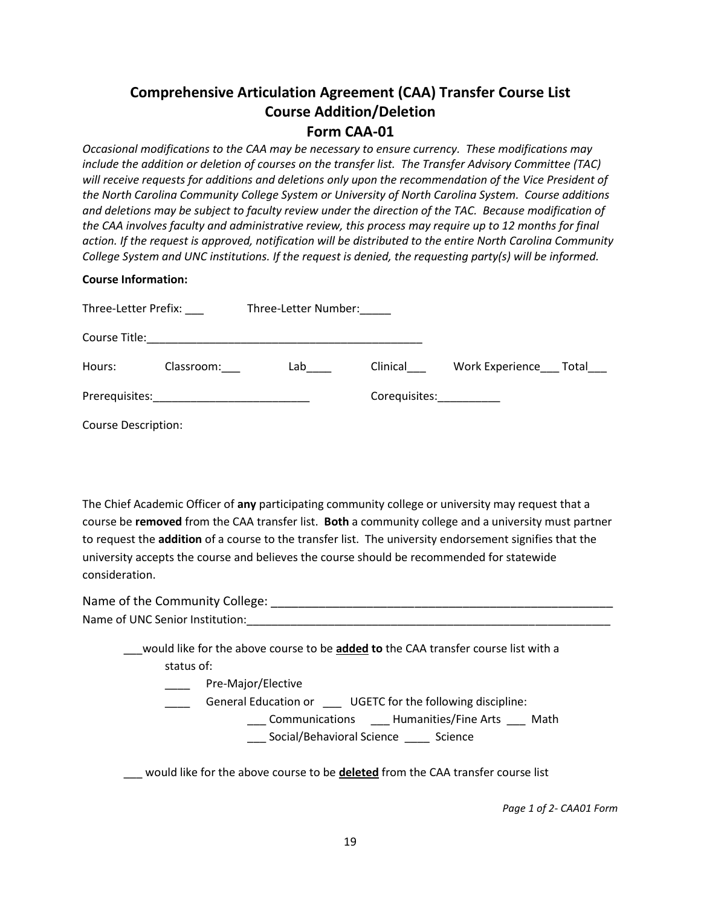## **Comprehensive Articulation Agreement (CAA) Transfer Course List Course Addition/Deletion Form CAA-01**

*Occasional modifications to the CAA may be necessary to ensure currency. These modifications may include the addition or deletion of courses on the transfer list. The Transfer Advisory Committee (TAC) will receive requests for additions and deletions only upon the recommendation of the Vice President of the North Carolina Community College System or University of North Carolina System. Course additions and deletions may be subject to faculty review under the direction of the TAC. Because modification of the CAA involves faculty and administrative review, this process may require up to 12 months for final action. If the request is approved, notification will be distributed to the entire North Carolina Community College System and UNC institutions. If the request is denied, the requesting party(s) will be informed.* 

### **Course Information:**

| Three-Letter Prefix:       |            | Three-Letter Number:                                                                                                  |               |                       |  |
|----------------------------|------------|-----------------------------------------------------------------------------------------------------------------------|---------------|-----------------------|--|
| Course Title:              |            | <u> 1980 - Jan James Santan, masjid a shekara ta 1980 a shekara ta 1980 a shekara ta 1980 a shekara ta 1980 a she</u> |               |                       |  |
| Hours:                     | Classroom: | Lab                                                                                                                   | Clinical      | Work Experience Total |  |
|                            |            |                                                                                                                       | Corequisites: |                       |  |
| <b>Course Description:</b> |            |                                                                                                                       |               |                       |  |

The Chief Academic Officer of **any** participating community college or university may request that a course be **removed** from the CAA transfer list. **Both** a community college and a university must partner to request the **addition** of a course to the transfer list. The university endorsement signifies that the university accepts the course and believes the course should be recommended for statewide consideration.

| Name of the Community College:  |  |
|---------------------------------|--|
| Name of UNC Senior Institution: |  |

\_\_\_would like for the above course to be **added to** the CAA transfer course list with a status of:

\_\_\_\_ Pre-Major/Elective

General Education or **UGETC** for the following discipline:

- \_\_\_ Communications \_\_\_ Humanities/Fine Arts \_\_\_ Math
	- \_\_\_ Social/Behavioral Science \_\_\_\_ Science

\_\_\_ would like for the above course to be **deleted** from the CAA transfer course list

*Page 1 of 2- CAA01 Form*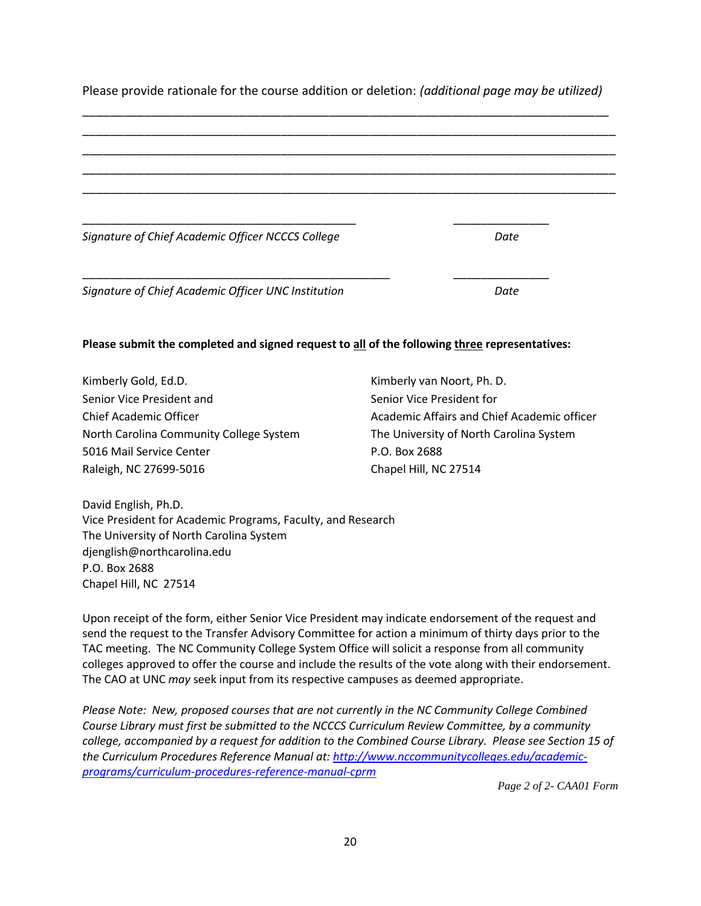| Please provide rationale for the course addition or deletion: (additional page may be utilized) |  |
|-------------------------------------------------------------------------------------------------|--|
|                                                                                                 |  |

| Signature of Chief Academic Officer NCCCS College   | Date |
|-----------------------------------------------------|------|
|                                                     |      |
| Signature of Chief Academic Officer UNC Institution | Date |

### **Please submit the completed and signed request to all of the following three representatives:**

| Kimberly Gold, Ed.D.                    | Kimberly van Noort, Ph. D.                  |
|-----------------------------------------|---------------------------------------------|
| Senior Vice President and               | Senior Vice President for                   |
| Chief Academic Officer                  | Academic Affairs and Chief Academic officer |
| North Carolina Community College System | The University of North Carolina System     |
| 5016 Mail Service Center                | P.O. Box 2688                               |
| Raleigh, NC 27699-5016                  | Chapel Hill, NC 27514                       |

David English, Ph.D. Vice President for Academic Programs, Faculty, and Research The University of North Carolina System djenglish@northcarolina.edu P.O. Box 2688 Chapel Hill, NC 27514

Upon receipt of the form, either Senior Vice President may indicate endorsement of the request and send the request to the Transfer Advisory Committee for action a minimum of thirty days prior to the TAC meeting. The NC Community College System Office will solicit a response from all community colleges approved to offer the course and include the results of the vote along with their endorsement. The CAO at UNC *may* seek input from its respective campuses as deemed appropriate.

*Please Note: New, proposed courses that are not currently in the NC Community College Combined Course Library must first be submitted to the NCCCS Curriculum Review Committee, by a community college, accompanied by a request for addition to the Combined Course Library. Please see Section 15 of the Curriculum Procedures Reference Manual at: [http://www.nccommunitycolleges.edu/academic](http://www.nccommunitycolleges.edu/academic-programs/curriculum-procedures-reference-manual-cprm)[programs/curriculum-procedures-reference-manual-cprm](http://www.nccommunitycolleges.edu/academic-programs/curriculum-procedures-reference-manual-cprm)* 

*Page 2 of 2- CAA01 Form*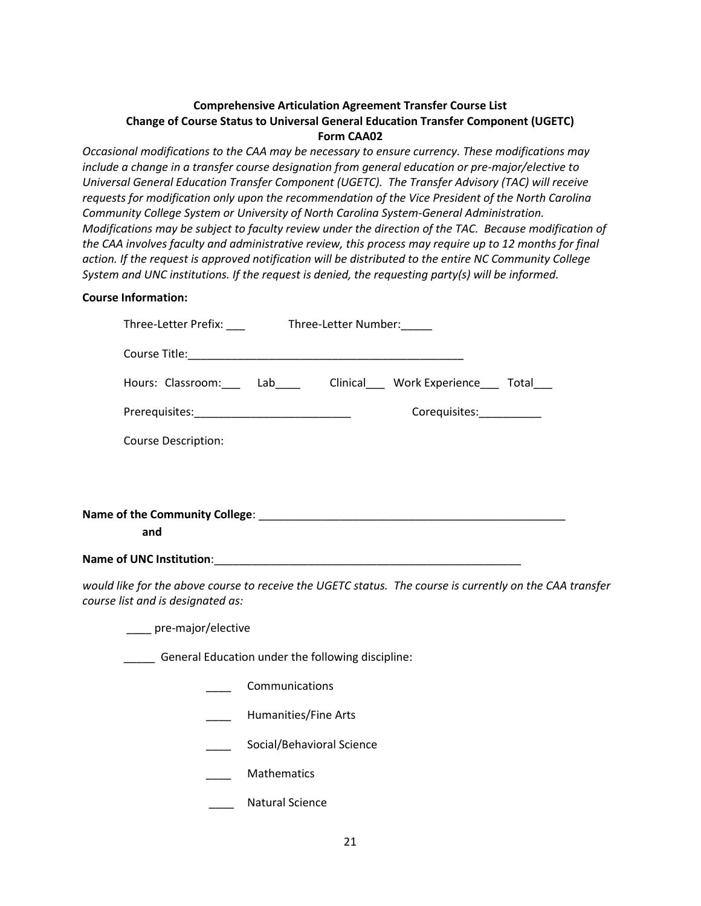### **Comprehensive Articulation Agreement Transfer Course List Change of Course Status to Universal General Education Transfer Component (UGETC) Form CAA02**

*Occasional modifications to the CAA may be necessary to ensure currency. These modifications may include a change in a transfer course designation from general education or pre-major/elective to Universal General Education Transfer Component (UGETC). The Transfer Advisory (TAC) will receive requests for modification only upon the recommendation of the Vice President of the North Carolina Community College System or University of North Carolina System-General Administration. Modifications may be subject to faculty review under the direction of the TAC. Because modification of the CAA involves faculty and administrative review, this process may require up to 12 months for final action. If the request is approved notification will be distributed to the entire NC Community College System and UNC institutions. If the request is denied, the requesting party(s) will be informed.* 

### **Course Information:**

| Three-Letter Prefix: ______________Three-Letter Number: ______ |                                                                                                          |  |
|----------------------------------------------------------------|----------------------------------------------------------------------------------------------------------|--|
|                                                                |                                                                                                          |  |
|                                                                | Hours: Classroom: Lab ___ Clinical __ Work Experience __ Total                                           |  |
|                                                                | Corequisites:___________                                                                                 |  |
| <b>Course Description:</b>                                     |                                                                                                          |  |
|                                                                |                                                                                                          |  |
|                                                                |                                                                                                          |  |
| and                                                            |                                                                                                          |  |
|                                                                |                                                                                                          |  |
| course list and is designated as:                              | would like for the above course to receive the UGETC status. The course is currently on the CAA transfer |  |

\_\_\_\_ pre-major/elective

General Education under the following discipline:

- \_\_\_\_ Communications
- \_\_\_\_ Humanities/Fine Arts
- Social/Behavioral Science
- \_\_\_\_ Mathematics
	- Natural Science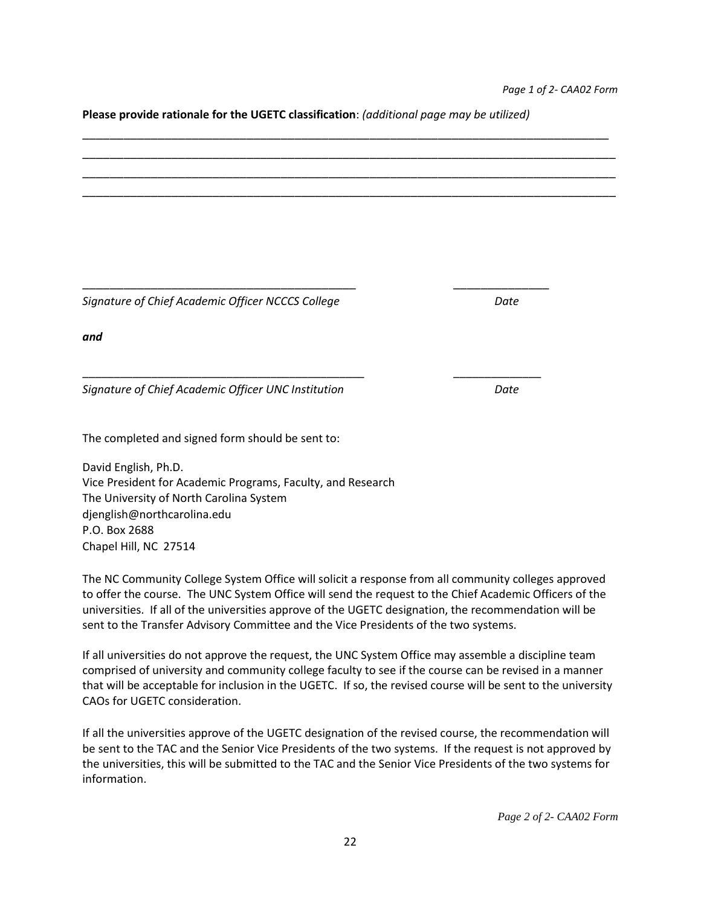**Please provide rationale for the UGETC classification**: *(additional page may be utilized)*



*Signature of Chief Academic Officer NCCCS College* Date Date

*and*

*Signature of Chief Academic Officer UNC Institution Date*

The completed and signed form should be sent to:

David English, Ph.D. Vice President for Academic Programs, Faculty, and Research The University of North Carolina System djenglish@northcarolina.edu P.O. Box 2688 Chapel Hill, NC 27514

The NC Community College System Office will solicit a response from all community colleges approved to offer the course. The UNC System Office will send the request to the Chief Academic Officers of the universities. If all of the universities approve of the UGETC designation, the recommendation will be sent to the Transfer Advisory Committee and the Vice Presidents of the two systems.

If all universities do not approve the request, the UNC System Office may assemble a discipline team comprised of university and community college faculty to see if the course can be revised in a manner that will be acceptable for inclusion in the UGETC. If so, the revised course will be sent to the university CAOs for UGETC consideration.

If all the universities approve of the UGETC designation of the revised course, the recommendation will be sent to the TAC and the Senior Vice Presidents of the two systems. If the request is not approved by the universities, this will be submitted to the TAC and the Senior Vice Presidents of the two systems for information.

\_\_\_\_\_\_\_\_\_\_\_\_\_\_\_\_\_\_\_\_\_\_\_\_\_\_\_\_\_\_\_\_\_\_\_\_\_\_\_\_\_\_\_\_\_ \_\_\_\_\_\_\_\_\_\_\_\_\_\_

*Page 2 of 2- CAA02 Form*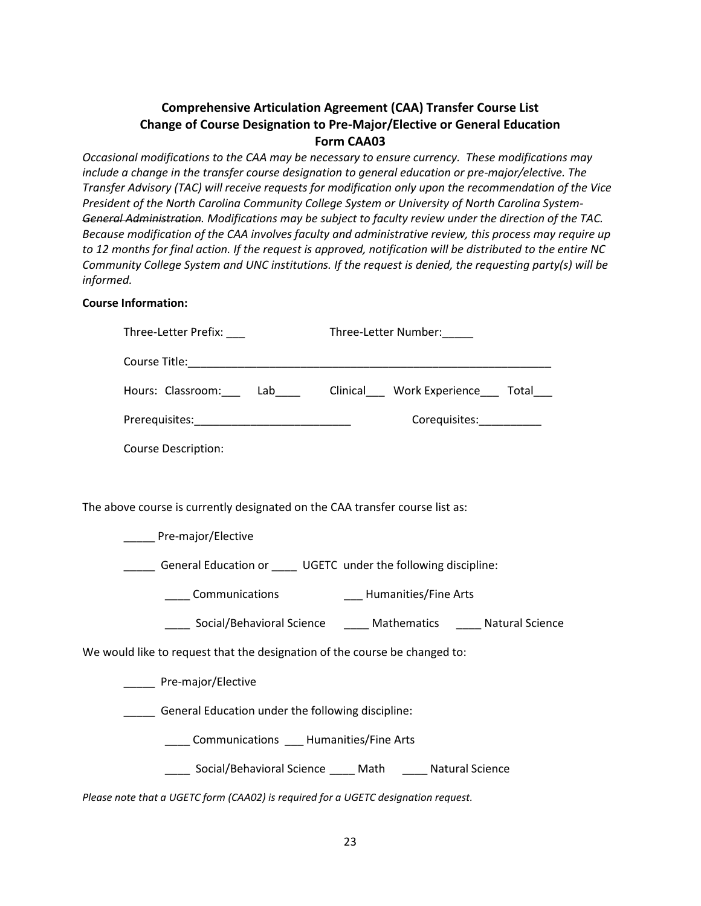## **Comprehensive Articulation Agreement (CAA) Transfer Course List Change of Course Designation to Pre-Major/Elective or General Education Form CAA03**

*Occasional modifications to the CAA may be necessary to ensure currency. These modifications may include a change in the transfer course designation to general education or pre-major/elective. The Transfer Advisory (TAC) will receive requests for modification only upon the recommendation of the Vice President of the North Carolina Community College System or University of North Carolina System-General Administration. Modifications may be subject to faculty review under the direction of the TAC. Because modification of the CAA involves faculty and administrative review, this process may require up to 12 months for final action. If the request is approved, notification will be distributed to the entire NC Community College System and UNC institutions. If the request is denied, the requesting party(s) will be informed.* 

### **Course Information:**

|                                                                            | Three-Letter Prefix:                                                         | Three-Letter Number:                                                      |  |  |
|----------------------------------------------------------------------------|------------------------------------------------------------------------------|---------------------------------------------------------------------------|--|--|
|                                                                            |                                                                              |                                                                           |  |  |
|                                                                            |                                                                              | Hours: Classroom: ___ Lab____ Clinical___ Work Experience___ Total___     |  |  |
|                                                                            |                                                                              | Corequisites:                                                             |  |  |
|                                                                            | Course Description:                                                          |                                                                           |  |  |
|                                                                            |                                                                              |                                                                           |  |  |
|                                                                            | The above course is currently designated on the CAA transfer course list as: |                                                                           |  |  |
|                                                                            | Pre-major/Elective                                                           |                                                                           |  |  |
|                                                                            | General Education or _____ UGETC under the following discipline:             |                                                                           |  |  |
|                                                                            | Communications Full Humanities/Fine Arts                                     |                                                                           |  |  |
|                                                                            |                                                                              | _____ Social/Behavioral Science ______ Mathematics ______ Natural Science |  |  |
| We would like to request that the designation of the course be changed to: |                                                                              |                                                                           |  |  |
|                                                                            | ______ Pre-major/Elective                                                    |                                                                           |  |  |
|                                                                            | ______ General Education under the following discipline:                     |                                                                           |  |  |
|                                                                            | Communications ____ Humanities/Fine Arts                                     |                                                                           |  |  |
|                                                                            |                                                                              | _____ Social/Behavioral Science _____ Math _____ Natural Science          |  |  |
|                                                                            |                                                                              |                                                                           |  |  |

*Please note that a UGETC form (CAA02) is required for a UGETC designation request.*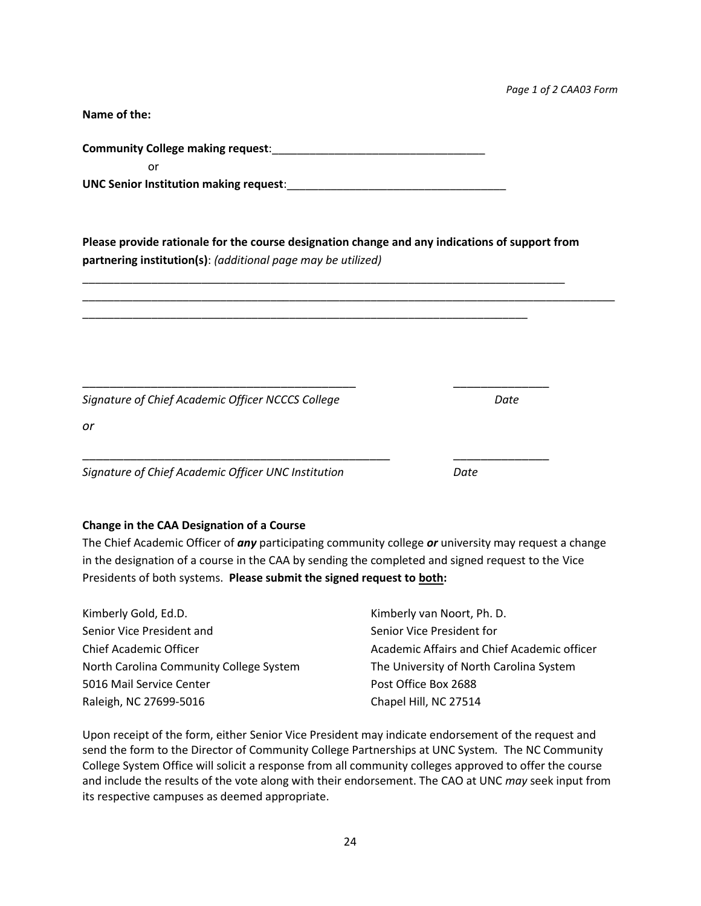*Page 1 of 2 CAA03 Form*

**Name of the:**

**Community College making request**:\_\_\_\_\_\_\_\_\_\_\_\_\_\_\_\_\_\_\_\_\_\_\_\_\_\_\_\_\_\_\_\_\_\_

or

UNC Senior Institution making request:

**Please provide rationale for the course designation change and any indications of support from partnering institution(s)**: *(additional page may be utilized)*

\_\_\_\_\_\_\_\_\_\_\_\_\_\_\_\_\_\_\_\_\_\_\_\_\_\_\_\_\_\_\_\_\_\_\_\_\_\_\_\_\_\_\_\_\_\_\_\_\_\_\_\_\_\_\_\_\_\_\_\_\_\_\_\_\_\_\_\_\_\_\_\_\_\_\_\_\_\_\_\_\_\_\_\_\_

\_\_\_\_\_\_\_\_\_\_\_\_\_\_\_\_\_\_\_\_\_\_\_\_\_\_\_\_\_\_\_\_\_\_\_\_\_\_\_\_\_\_\_\_\_\_\_\_\_\_\_\_\_\_\_\_\_\_\_\_\_\_\_\_\_\_\_\_\_\_\_\_\_\_\_\_\_

\_\_\_\_\_\_\_\_\_\_\_\_\_\_\_\_\_\_\_\_\_\_\_\_\_\_\_\_\_\_\_\_\_\_\_\_\_\_\_\_\_\_\_\_\_\_\_\_\_\_\_\_\_\_\_\_\_\_\_\_\_\_\_\_\_\_\_\_\_\_\_

\_\_\_\_\_\_\_\_\_\_\_\_\_\_\_\_\_\_\_\_\_\_\_\_\_\_\_\_\_\_\_\_\_\_\_\_\_\_\_\_ \_\_\_\_\_\_\_\_\_\_\_\_\_\_

\_\_\_\_\_\_\_\_\_\_\_\_\_\_\_\_\_\_\_\_\_\_\_\_\_\_\_\_\_\_\_\_\_\_\_\_\_\_\_\_\_\_\_\_\_ \_\_\_\_\_\_\_\_\_\_\_\_\_\_

*Signature of Chief Academic Officer NCCCS College* Date Date

*or*

*Signature of Chief Academic Officer UNC Institution Date*

### **Change in the CAA Designation of a Course**

The Chief Academic Officer of *any* participating community college *or* university may request a change in the designation of a course in the CAA by sending the completed and signed request to the Vice Presidents of both systems. **Please submit the signed request to both:**

| Kimberly Gold, Ed.D.                    | Kimberly van Noort, Ph. D.                  |
|-----------------------------------------|---------------------------------------------|
| Senior Vice President and               | Senior Vice President for                   |
| Chief Academic Officer                  | Academic Affairs and Chief Academic officer |
| North Carolina Community College System | The University of North Carolina System     |
| 5016 Mail Service Center                | Post Office Box 2688                        |
| Raleigh, NC 27699-5016                  | Chapel Hill, NC 27514                       |

Upon receipt of the form, either Senior Vice President may indicate endorsement of the request and send the form to the Director of Community College Partnerships at UNC System*.* The NC Community College System Office will solicit a response from all community colleges approved to offer the course and include the results of the vote along with their endorsement. The CAO at UNC *may* seek input from its respective campuses as deemed appropriate.

24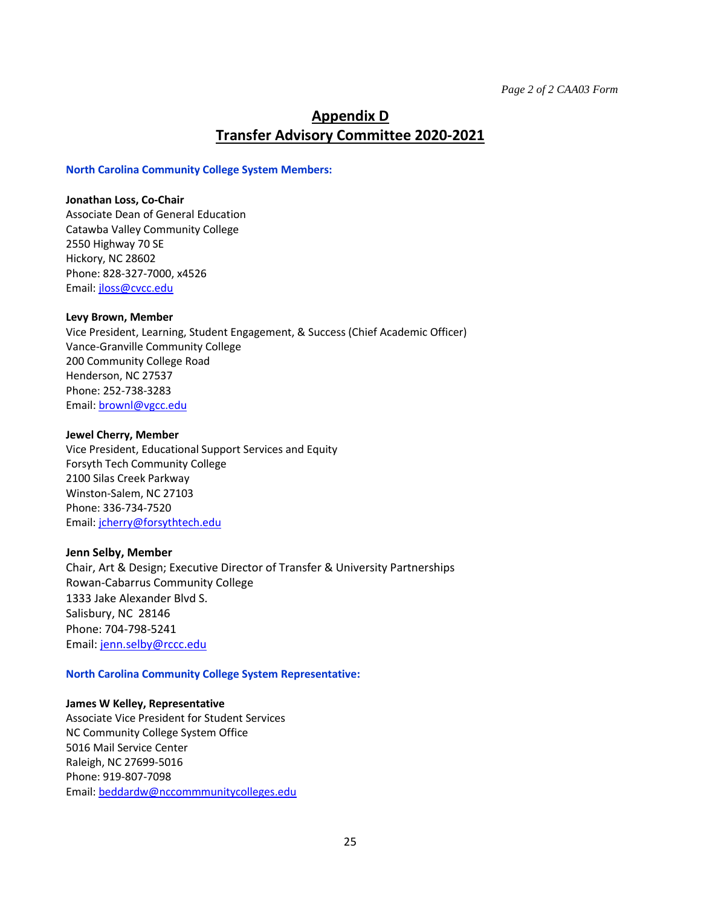## <span id="page-24-0"></span>**Appendix D Transfer Advisory Committee 2020-2021**

#### **North Carolina Community College System Members:**

#### **Jonathan Loss, Co-Chair**

Associate Dean of General Education Catawba Valley Community College 2550 Highway 70 SE Hickory, NC 28602 Phone: 828-327-7000, x4526 Email: [jloss@cvcc.edu](mailto:jloss@cvcc.edu)

### **Levy Brown, Member**

Vice President, Learning, Student Engagement, & Success (Chief Academic Officer) Vance-Granville Community College 200 Community College Road Henderson, NC 27537 Phone: 252-738-3283 Email: [brownl@vgcc.edu](mailto:brownl@vgcc.edu)

### **Jewel Cherry, Member**

Vice President, Educational Support Services and Equity Forsyth Tech Community College 2100 Silas Creek Parkway Winston-Salem, NC 27103 Phone: 336-734-7520 Email: [jcherry@forsythtech.edu](mailto:jcherry@forsythtech.edu)

### **Jenn Selby, Member**

Chair, Art & Design; Executive Director of Transfer & University Partnerships Rowan-Cabarrus Community College 1333 Jake Alexander Blvd S. Salisbury, NC 28146 Phone: 704-798-5241 Email[: jenn.selby@rccc.edu](mailto:jenn.selby@rccc.edu)

### **North Carolina Community College System Representative:**

#### **James W Kelley, Representative**

Associate Vice President for Student Services NC Community College System Office 5016 Mail Service Center Raleigh, NC 27699-5016 Phone: 919-807-7098 Email: [beddardw@nccommmunitycolleges.edu](mailto:beddardw@nccommmunitycolleges.edu)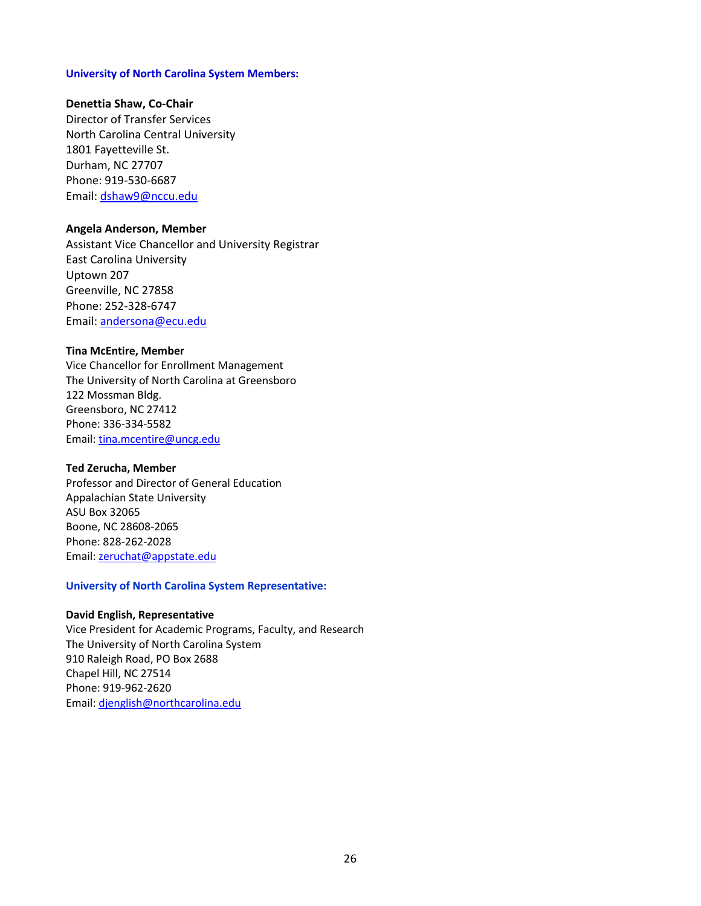#### **University of North Carolina System Members:**

#### **Denettia Shaw, Co-Chair**

Director of Transfer Services North Carolina Central University 1801 Fayetteville St. Durham, NC 27707 Phone: 919-530-6687 Email[: dshaw9@nccu.edu](mailto:dshaw9@nccu.edu)

#### **Angela Anderson, Member**

Assistant Vice Chancellor and University Registrar East Carolina University Uptown 207 Greenville, NC 27858 Phone: 252-328-6747 Email[: andersona@ecu.edu](mailto:andersona@ecu.edu)

#### **Tina McEntire, Member**

Vice Chancellor for Enrollment Management The University of North Carolina at Greensboro 122 Mossman Bldg. Greensboro, NC 27412 Phone: 336-334-5582 Email: [tina.mcentire@uncg.edu](mailto:tina.mcentire@uncg.edu)

#### **Ted Zerucha, Member**

Professor and Director of General Education Appalachian State University ASU Box 32065 Boone, NC 28608-2065 Phone: 828-262-2028 Email: [zeruchat@appstate.edu](mailto:zeruchat@appstate.edu)

#### **University of North Carolina System Representative:**

#### **David English, Representative**

Vice President for Academic Programs, Faculty, and Research The University of North Carolina System 910 Raleigh Road, PO Box 2688 Chapel Hill, NC 27514 Phone: 919-962-2620 Email: [djenglish@northcarolina.edu](mailto:djenglish@northcarolina.edu)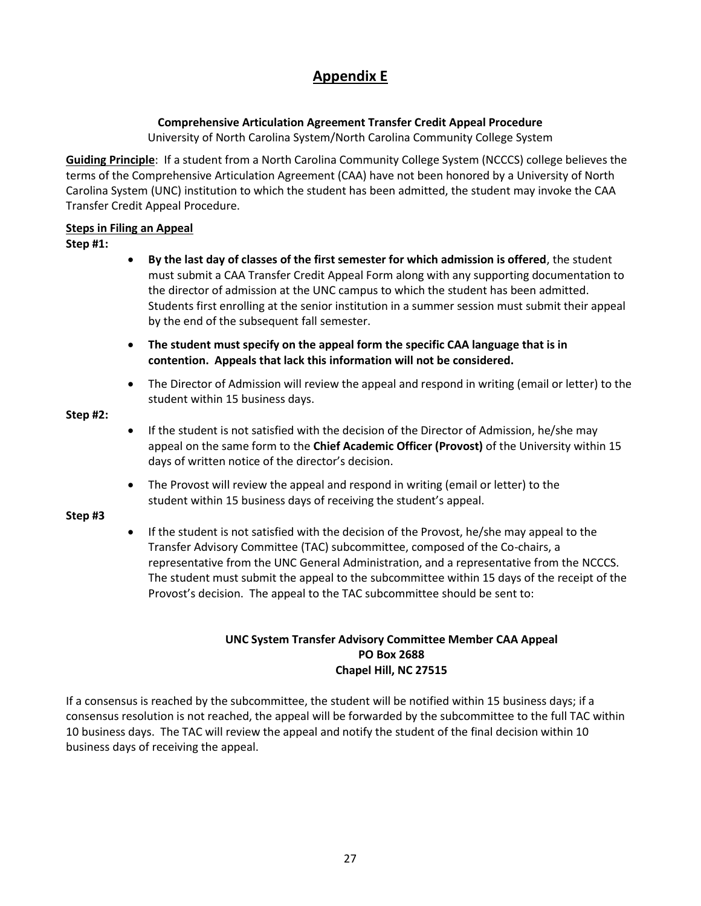# **Appendix E**

## **Comprehensive Articulation Agreement Transfer Credit Appeal Procedure**

University of North Carolina System/North Carolina Community College System

<span id="page-26-0"></span>**Guiding Principle**: If a student from a North Carolina Community College System (NCCCS) college believes the terms of the Comprehensive Articulation Agreement (CAA) have not been honored by a University of North Carolina System (UNC) institution to which the student has been admitted, the student may invoke the CAA Transfer Credit Appeal Procedure.

### **Steps in Filing an Appeal**

### **Step #1:**

- **By the last day of classes of the first semester for which admission is offered**, the student must submit a CAA Transfer Credit Appeal Form along with any supporting documentation to the director of admission at the UNC campus to which the student has been admitted. Students first enrolling at the senior institution in a summer session must submit their appeal by the end of the subsequent fall semester.
- **The student must specify on the appeal form the specific CAA language that is in contention. Appeals that lack this information will not be considered.**
- The Director of Admission will review the appeal and respond in writing (email or letter) to the student within 15 business days.

### **Step #2:**

- If the student is not satisfied with the decision of the Director of Admission, he/she may appeal on the same form to the **Chief Academic Officer (Provost)** of the University within 15 days of written notice of the director's decision.
- The Provost will review the appeal and respond in writing (email or letter) to the student within 15 business days of receiving the student's appeal.

### **Step #3**

• If the student is not satisfied with the decision of the Provost, he/she may appeal to the Transfer Advisory Committee (TAC) subcommittee, composed of the Co-chairs, a representative from the UNC General Administration, and a representative from the NCCCS. The student must submit the appeal to the subcommittee within 15 days of the receipt of the Provost's decision. The appeal to the TAC subcommittee should be sent to:

### **UNC System Transfer Advisory Committee Member CAA Appeal PO Box 2688 Chapel Hill, NC 27515**

If a consensus is reached by the subcommittee, the student will be notified within 15 business days; if a consensus resolution is not reached, the appeal will be forwarded by the subcommittee to the full TAC within 10 business days. The TAC will review the appeal and notify the student of the final decision within 10 business days of receiving the appeal.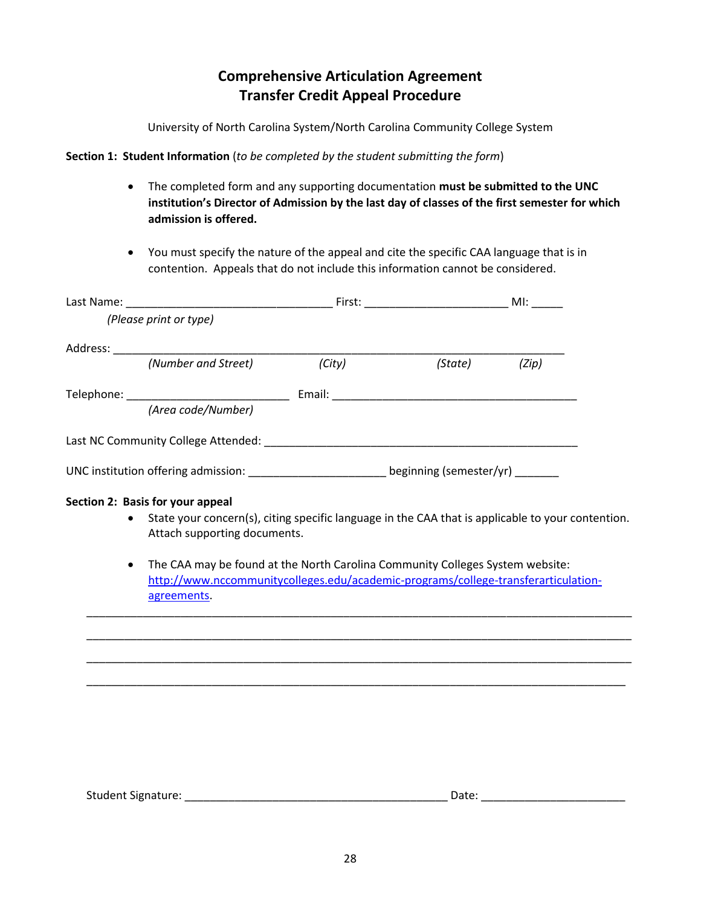## **Comprehensive Articulation Agreement Transfer Credit Appeal Procedure**

University of North Carolina System/North Carolina Community College System

**Section 1: Student Information** (*to be completed by the student submitting the form*)

- The completed form and any supporting documentation **must be submitted to the UNC institution's Director of Admission by the last day of classes of the first semester for which admission is offered.**
- You must specify the nature of the appeal and cite the specific CAA language that is in contention. Appeals that do not include this information cannot be considered.

|           | (Please print or type)                                                                                                                                                             |        |         |       |  |
|-----------|------------------------------------------------------------------------------------------------------------------------------------------------------------------------------------|--------|---------|-------|--|
|           |                                                                                                                                                                                    |        |         |       |  |
|           | (Number and Street)                                                                                                                                                                | (City) | (State) | (Zip) |  |
|           |                                                                                                                                                                                    |        |         |       |  |
|           | (Area code/Number)                                                                                                                                                                 |        |         |       |  |
|           |                                                                                                                                                                                    |        |         |       |  |
|           | UNC institution offering admission: ___________________________beginning (semester/yr) _______                                                                                     |        |         |       |  |
|           | Section 2: Basis for your appeal<br>State your concern(s), citing specific language in the CAA that is applicable to your contention.<br>Attach supporting documents.              |        |         |       |  |
| $\bullet$ | The CAA may be found at the North Carolina Community Colleges System website:<br>http://www.nccommunitycolleges.edu/academic-programs/college-transferarticulation-<br>agreements. |        |         |       |  |
|           |                                                                                                                                                                                    |        |         |       |  |
|           |                                                                                                                                                                                    |        |         |       |  |
|           |                                                                                                                                                                                    |        |         |       |  |
|           |                                                                                                                                                                                    |        |         |       |  |

<span id="page-27-0"></span>

| <b>Student Signature:</b> | ate. |
|---------------------------|------|
|                           |      |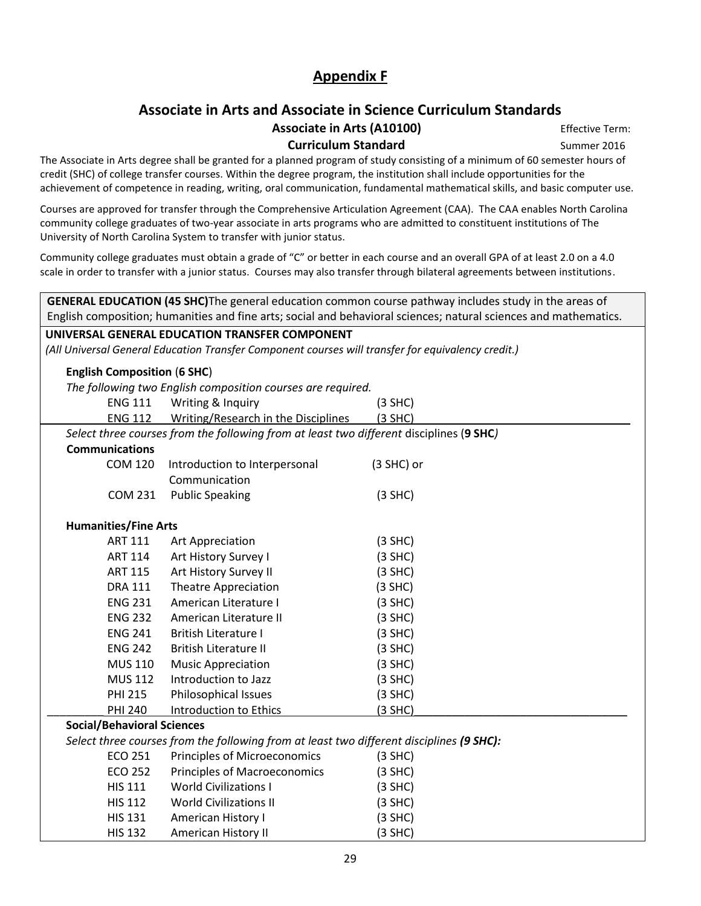## **Appendix F**

## **Associate in Arts and Associate in Science Curriculum Standards** Associate in Arts (A10100) **Effective Term:**

**Curriculum Standard** Summer 2016

The Associate in Arts degree shall be granted for a planned program of study consisting of a minimum of 60 semester hours of credit (SHC) of college transfer courses. Within the degree program, the institution shall include opportunities for the achievement of competence in reading, writing, oral communication, fundamental mathematical skills, and basic computer use.

Courses are approved for transfer through the Comprehensive Articulation Agreement (CAA). The CAA enables North Carolina community college graduates of two-year associate in arts programs who are admitted to constituent institutions of The University of North Carolina System to transfer with junior status.

Community college graduates must obtain a grade of "C" or better in each course and an overall GPA of at least 2.0 on a 4.0 scale in order to transfer with a junior status. Courses may also transfer through bilateral agreements between institutions.

| GENERAL EDUCATION (45 SHC)The general education common course pathway includes study in the areas of             |                                                                                                    |            |  |  |
|------------------------------------------------------------------------------------------------------------------|----------------------------------------------------------------------------------------------------|------------|--|--|
| English composition; humanities and fine arts; social and behavioral sciences; natural sciences and mathematics. |                                                                                                    |            |  |  |
|                                                                                                                  | UNIVERSAL GENERAL EDUCATION TRANSFER COMPONENT                                                     |            |  |  |
|                                                                                                                  | (All Universal General Education Transfer Component courses will transfer for equivalency credit.) |            |  |  |
| <b>English Composition (6 SHC)</b>                                                                               |                                                                                                    |            |  |  |
|                                                                                                                  | The following two English composition courses are required.                                        |            |  |  |
| <b>ENG 111</b>                                                                                                   | Writing & Inquiry                                                                                  | $(3$ SHC)  |  |  |
| <b>ENG 112</b>                                                                                                   | Writing/Research in the Disciplines                                                                | $(3$ SHC)  |  |  |
|                                                                                                                  | Select three courses from the following from at least two different disciplines (9 SHC)            |            |  |  |
| <b>Communications</b>                                                                                            |                                                                                                    |            |  |  |
| <b>COM 120</b>                                                                                                   | Introduction to Interpersonal                                                                      | (3 SHC) or |  |  |
|                                                                                                                  | Communication                                                                                      |            |  |  |
| <b>COM 231</b>                                                                                                   | <b>Public Speaking</b>                                                                             | $(3$ SHC)  |  |  |
| <b>Humanities/Fine Arts</b>                                                                                      |                                                                                                    |            |  |  |
| <b>ART 111</b>                                                                                                   | Art Appreciation                                                                                   | $(3$ SHC)  |  |  |
| <b>ART 114</b>                                                                                                   | Art History Survey I                                                                               | $(3$ SHC)  |  |  |
| <b>ART 115</b>                                                                                                   | Art History Survey II                                                                              | $(3$ SHC)  |  |  |
| <b>DRA 111</b>                                                                                                   | <b>Theatre Appreciation</b>                                                                        | $(3$ SHC)  |  |  |
| <b>ENG 231</b>                                                                                                   | American Literature I                                                                              |            |  |  |
| <b>ENG 232</b>                                                                                                   |                                                                                                    | $(3$ SHC)  |  |  |
|                                                                                                                  | American Literature II                                                                             | $(3$ SHC)  |  |  |
| <b>ENG 241</b>                                                                                                   | <b>British Literature I</b>                                                                        | $(3$ SHC)  |  |  |
| <b>ENG 242</b>                                                                                                   | <b>British Literature II</b>                                                                       | $(3$ SHC)  |  |  |
| <b>MUS 110</b>                                                                                                   | <b>Music Appreciation</b>                                                                          | $(3$ SHC)  |  |  |
| <b>MUS 112</b>                                                                                                   | Introduction to Jazz                                                                               | $(3$ SHC)  |  |  |
| <b>PHI 215</b>                                                                                                   | Philosophical Issues                                                                               | $(3$ SHC)  |  |  |
| <b>PHI 240</b>                                                                                                   | Introduction to Ethics                                                                             | $(3$ SHC)  |  |  |
| <b>Social/Behavioral Sciences</b>                                                                                |                                                                                                    |            |  |  |
| Select three courses from the following from at least two different disciplines (9 SHC):                         |                                                                                                    |            |  |  |
| <b>ECO 251</b>                                                                                                   | Principles of Microeconomics                                                                       | $(3$ SHC)  |  |  |
| <b>ECO 252</b>                                                                                                   | <b>Principles of Macroeconomics</b>                                                                | $(3$ SHC)  |  |  |
| <b>HIS 111</b>                                                                                                   | <b>World Civilizations I</b>                                                                       | $(3$ SHC)  |  |  |
| <b>HIS 112</b>                                                                                                   | <b>World Civilizations II</b>                                                                      | $(3$ SHC)  |  |  |
| <b>HIS 131</b>                                                                                                   | American History I                                                                                 | $(3$ SHC)  |  |  |
| <b>HIS 132</b>                                                                                                   | American History II                                                                                | $(3$ SHC)  |  |  |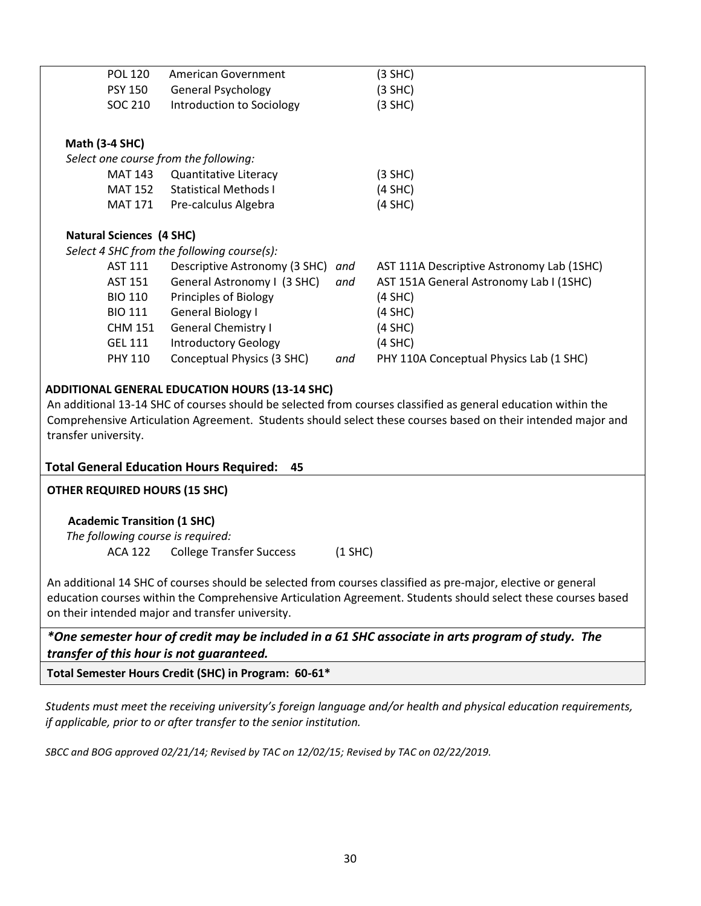| POL 120                               | <b>American Government</b>                 |     | (3 SHC)                                   |
|---------------------------------------|--------------------------------------------|-----|-------------------------------------------|
| <b>PSY 150</b>                        | <b>General Psychology</b>                  |     | $(3$ SHC)                                 |
| SOC 210                               | Introduction to Sociology                  |     | $(3$ SHC)                                 |
|                                       |                                            |     |                                           |
| <b>Math (3-4 SHC)</b>                 |                                            |     |                                           |
| Select one course from the following: |                                            |     |                                           |
| MAT 143                               | Quantitative Literacy                      |     | $(3$ SHC)                                 |
| MAT 152                               | <b>Statistical Methods I</b>               |     | $(4$ SHC)                                 |
| MAT 171                               | Pre-calculus Algebra                       |     | $(4$ SHC)                                 |
| <b>Natural Sciences (4 SHC)</b>       |                                            |     |                                           |
|                                       | Select 4 SHC from the following course(s): |     |                                           |
| AST 111                               | Descriptive Astronomy (3 SHC)              | and | AST 111A Descriptive Astronomy Lab (1SHC) |
| <b>AST 151</b>                        | General Astronomy I (3 SHC)                | and | AST 151A General Astronomy Lab I (1SHC)   |
| <b>BIO 110</b>                        | Principles of Biology                      |     | $(4$ SHC)                                 |
| <b>BIO 111</b>                        | General Biology I                          |     | $(4$ SHC)                                 |
| <b>CHM 151</b>                        | <b>General Chemistry I</b>                 |     | $(4$ SHC)                                 |
| <b>GEL 111</b>                        | <b>Introductory Geology</b>                |     | $(4$ SHC)                                 |
| <b>PHY 110</b>                        | Conceptual Physics (3 SHC)                 | and | PHY 110A Conceptual Physics Lab (1 SHC)   |

### **ADDITIONAL GENERAL EDUCATION HOURS (13-14 SHC)**

An additional 13-14 SHC of courses should be selected from courses classified as general education within the Comprehensive Articulation Agreement. Students should select these courses based on their intended major and transfer university.

### **Total General Education Hours Required: 45**

**OTHER REQUIRED HOURS (15 SHC)**

#### **Academic Transition (1 SHC)**

*The following course is required:*

ACA 122 College Transfer Success (1 SHC)

An additional 14 SHC of courses should be selected from courses classified as pre-major, elective or general education courses within the Comprehensive Articulation Agreement. Students should select these courses based on their intended major and transfer university.

*\*One semester hour of credit may be included in a 61 SHC associate in arts program of study. The transfer of this hour is not guaranteed.* 

**Total Semester Hours Credit (SHC) in Program: 60-61\***

*Students must meet the receiving university's foreign language and/or health and physical education requirements, if applicable, prior to or after transfer to the senior institution.*

*SBCC and BOG approved 02/21/14; Revised by TAC on 12/02/15; Revised by TAC on 02/22/2019.*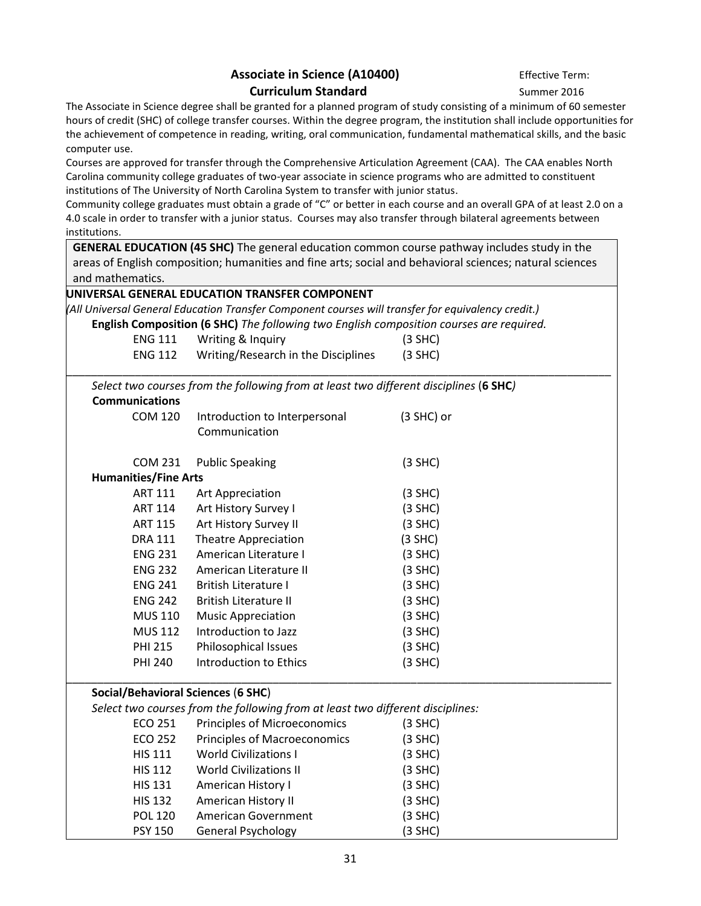## Associate in Science (A10400) **Effective Term: Curriculum Standard** Summer 2016

The Associate in Science degree shall be granted for a planned program of study consisting of a minimum of 60 semester hours of credit (SHC) of college transfer courses. Within the degree program, the institution shall include opportunities for the achievement of competence in reading, writing, oral communication, fundamental mathematical skills, and the basic computer use.

Courses are approved for transfer through the Comprehensive Articulation Agreement (CAA). The CAA enables North Carolina community college graduates of two-year associate in science programs who are admitted to constituent institutions of The University of North Carolina System to transfer with junior status.

Community college graduates must obtain a grade of "C" or better in each course and an overall GPA of at least 2.0 on a 4.0 scale in order to transfer with a junior status. Courses may also transfer through bilateral agreements between institutions.

**GENERAL EDUCATION (45 SHC)** The general education common course pathway includes study in the areas of English composition; humanities and fine arts; social and behavioral sciences; natural sciences and mathematics.

|                                           | UNIVERSAL GENERAL EDUCATION TRANSFER COMPONENT                                                     |              |
|-------------------------------------------|----------------------------------------------------------------------------------------------------|--------------|
|                                           | (All Universal General Education Transfer Component courses will transfer for equivalency credit.) |              |
|                                           | English Composition (6 SHC) The following two English composition courses are required.            |              |
| <b>ENG 111</b>                            | Writing & Inquiry                                                                                  | $(3$ SHC)    |
| <b>ENG 112</b>                            | Writing/Research in the Disciplines                                                                | $(3$ SHC)    |
|                                           | Select two courses from the following from at least two different disciplines (6 SHC)              |              |
| <b>Communications</b>                     |                                                                                                    |              |
| <b>COM 120</b>                            | Introduction to Interpersonal                                                                      | $(3$ SHC) or |
|                                           | Communication                                                                                      |              |
| <b>COM 231</b>                            | <b>Public Speaking</b>                                                                             | $(3$ SHC)    |
| <b>Humanities/Fine Arts</b>               |                                                                                                    |              |
| <b>ART 111</b>                            | Art Appreciation                                                                                   | $(3$ SHC)    |
| <b>ART 114</b>                            | Art History Survey I                                                                               | $(3$ SHC)    |
| <b>ART 115</b>                            | Art History Survey II<br>$(3$ SHC)                                                                 |              |
| <b>DRA 111</b>                            | <b>Theatre Appreciation</b>                                                                        | $(3$ SHC)    |
| <b>ENG 231</b>                            | American Literature I                                                                              | $(3$ SHC)    |
| <b>ENG 232</b>                            | American Literature II                                                                             | $(3$ SHC)    |
| <b>ENG 241</b>                            | <b>British Literature I</b>                                                                        | $(3$ SHC)    |
| <b>ENG 242</b>                            | <b>British Literature II</b>                                                                       | $(3$ SHC)    |
| <b>MUS 110</b>                            | <b>Music Appreciation</b>                                                                          | $(3$ SHC)    |
| <b>MUS 112</b>                            | Introduction to Jazz                                                                               | $(3$ SHC)    |
| <b>PHI 215</b>                            | Philosophical Issues                                                                               | $(3$ SHC)    |
| <b>PHI 240</b>                            | <b>Introduction to Ethics</b>                                                                      | $(3$ SHC)    |
| <b>Social/Behavioral Sciences (6 SHC)</b> |                                                                                                    |              |
|                                           | Select two courses from the following from at least two different disciplines:                     |              |
| ECO 251                                   | Principles of Microeconomics                                                                       | $(3$ SHC)    |
| <b>ECO 252</b>                            | Principles of Macroeconomics                                                                       | $(3$ SHC)    |
| <b>HIS 111</b>                            | <b>World Civilizations I</b><br>$(3$ SHC)                                                          |              |
| <b>HIS 112</b>                            | <b>World Civilizations II</b>                                                                      | $(3$ SHC)    |
| <b>HIS 131</b>                            | American History I                                                                                 | $(3$ SHC)    |
| <b>HIS 132</b>                            | American History II                                                                                | $(3$ SHC)    |
| <b>POL 120</b>                            | American Government                                                                                | $(3$ SHC)    |
| <b>PSY 150</b>                            | <b>General Psychology</b>                                                                          | $(3$ SHC)    |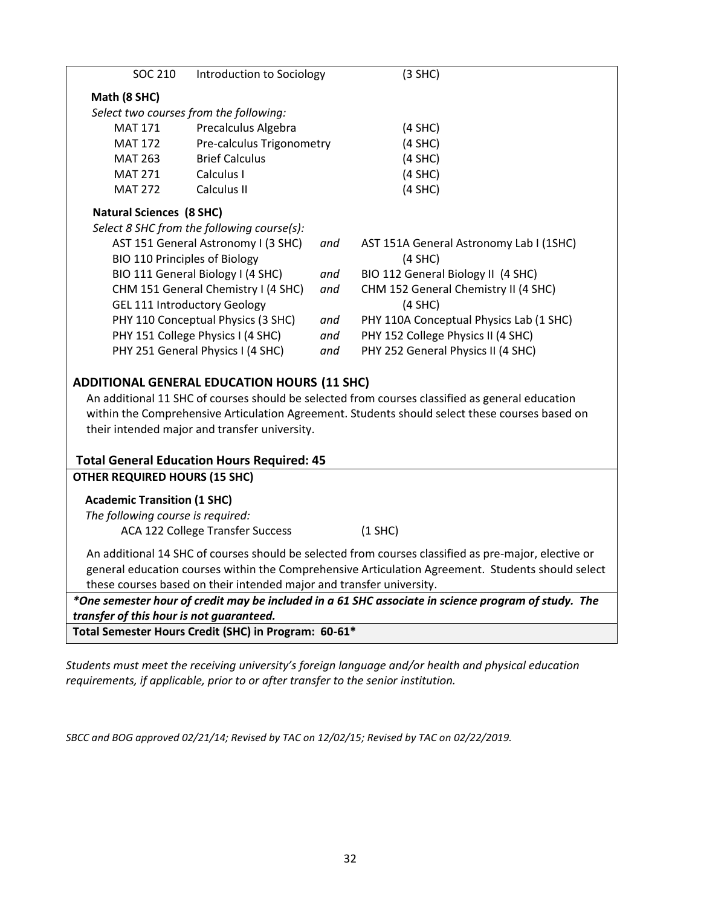| <b>SOC 210</b>                                                                                                                                  | Introduction to Sociology                  |     | $(3$ SHC)                               |  |  |
|-------------------------------------------------------------------------------------------------------------------------------------------------|--------------------------------------------|-----|-----------------------------------------|--|--|
| Math (8 SHC)                                                                                                                                    |                                            |     |                                         |  |  |
| Select two courses from the following:                                                                                                          |                                            |     |                                         |  |  |
| <b>MAT 171</b>                                                                                                                                  | Precalculus Algebra                        |     | $(4$ SHC)                               |  |  |
| <b>MAT 172</b>                                                                                                                                  | Pre-calculus Trigonometry                  |     | $(4$ SHC)                               |  |  |
| <b>MAT 263</b>                                                                                                                                  | <b>Brief Calculus</b>                      |     | $(4$ SHC)                               |  |  |
| <b>MAT 271</b>                                                                                                                                  | Calculus I                                 |     | $(4$ SHC)                               |  |  |
| <b>MAT 272</b>                                                                                                                                  | Calculus II                                |     | $(4$ SHC)                               |  |  |
| <b>Natural Sciences (8 SHC)</b>                                                                                                                 |                                            |     |                                         |  |  |
|                                                                                                                                                 | Select 8 SHC from the following course(s): |     |                                         |  |  |
|                                                                                                                                                 | AST 151 General Astronomy I (3 SHC)        | and | AST 151A General Astronomy Lab I (1SHC) |  |  |
| <b>BIO 110 Principles of Biology</b>                                                                                                            |                                            |     | $(4$ SHC)                               |  |  |
| BIO 111 General Biology I (4 SHC)                                                                                                               |                                            | and | BIO 112 General Biology II (4 SHC)      |  |  |
|                                                                                                                                                 | CHM 151 General Chemistry I (4 SHC)        | and | CHM 152 General Chemistry II (4 SHC)    |  |  |
|                                                                                                                                                 | <b>GEL 111 Introductory Geology</b>        |     | $(4$ SHC)                               |  |  |
| PHY 110 Conceptual Physics (3 SHC)                                                                                                              |                                            | and | PHY 110A Conceptual Physics Lab (1 SHC) |  |  |
|                                                                                                                                                 | PHY 151 College Physics I (4 SHC)          | and | PHY 152 College Physics II (4 SHC)      |  |  |
|                                                                                                                                                 | PHY 251 General Physics I (4 SHC)          | and | PHY 252 General Physics II (4 SHC)      |  |  |
| <b>ADDITIONAL GENERAL EDUCATION HOURS (11 SHC)</b>                                                                                              |                                            |     |                                         |  |  |
| An additional 11 SHC of courses should be selected from courses classified as general education                                                 |                                            |     |                                         |  |  |
| within the Comprehensive Articulation Agreement. Students should select these courses based on                                                  |                                            |     |                                         |  |  |
| their intended major and transfer university.                                                                                                   |                                            |     |                                         |  |  |
|                                                                                                                                                 |                                            |     |                                         |  |  |
| <b>Total General Education Hours Required: 45</b>                                                                                               |                                            |     |                                         |  |  |
| <b>OTHER REQUIRED HOURS (15 SHC)</b>                                                                                                            |                                            |     |                                         |  |  |
| <b>Academic Transition (1 SHC)</b>                                                                                                              |                                            |     |                                         |  |  |
| The following course is required:                                                                                                               |                                            |     |                                         |  |  |
|                                                                                                                                                 | <b>ACA 122 College Transfer Success</b>    |     | $(1$ SHC)                               |  |  |
|                                                                                                                                                 |                                            |     |                                         |  |  |
| An additional 14 SHC of courses should be selected from courses classified as pre-major, elective or                                            |                                            |     |                                         |  |  |
| general education courses within the Comprehensive Articulation Agreement. Students should select                                               |                                            |     |                                         |  |  |
| these courses based on their intended major and transfer university.                                                                            |                                            |     |                                         |  |  |
| *One semester hour of credit may be included in a 61 SHC associate in science program of study. The<br>transfer of this hour is not guaranteed. |                                            |     |                                         |  |  |
| Total Semester Hours Credit (SHC) in Program: 60-61*                                                                                            |                                            |     |                                         |  |  |
|                                                                                                                                                 |                                            |     |                                         |  |  |

*Students must meet the receiving university's foreign language and/or health and physical education requirements, if applicable, prior to or after transfer to the senior institution.*

*SBCC and BOG approved 02/21/14; Revised by TAC on 12/02/15; Revised by TAC on 02/22/2019.*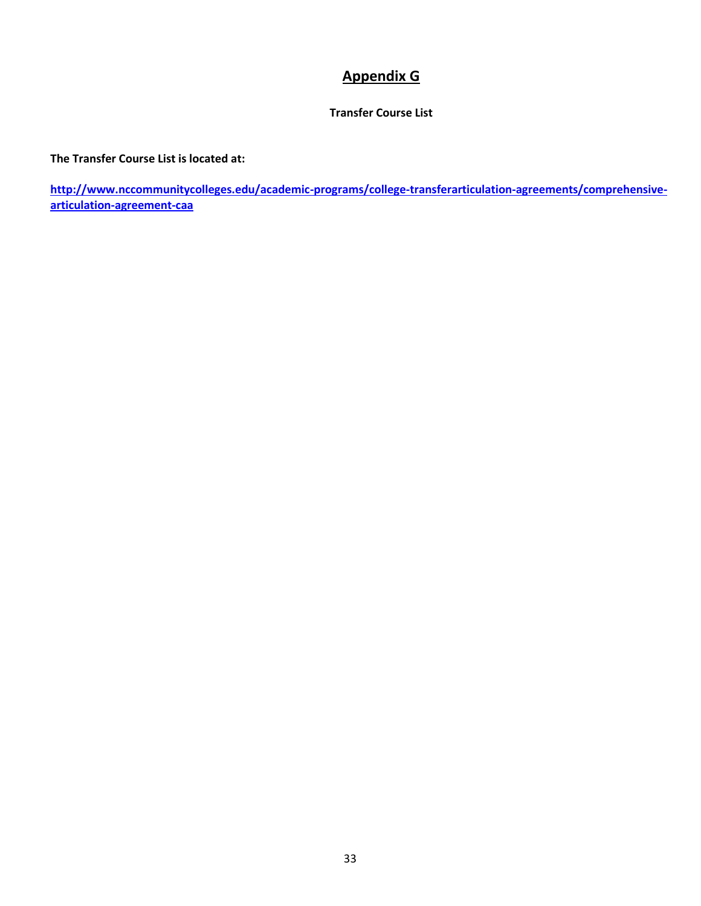## **Appendix G**

### **Transfer Course List**

### <span id="page-32-0"></span>**The Transfer Course List is located at:**

**[http://www.nccommunitycolleges.edu/academic-programs/college-transferarticulation-agreements/comprehensive](http://www.nccommunitycolleges.edu/academic-programs/college-transferarticulation-agreements/comprehensive-articulation-agreement-caa)[articulation-agreement-caa](http://www.nccommunitycolleges.edu/academic-programs/college-transferarticulation-agreements/comprehensive-articulation-agreement-caa)**